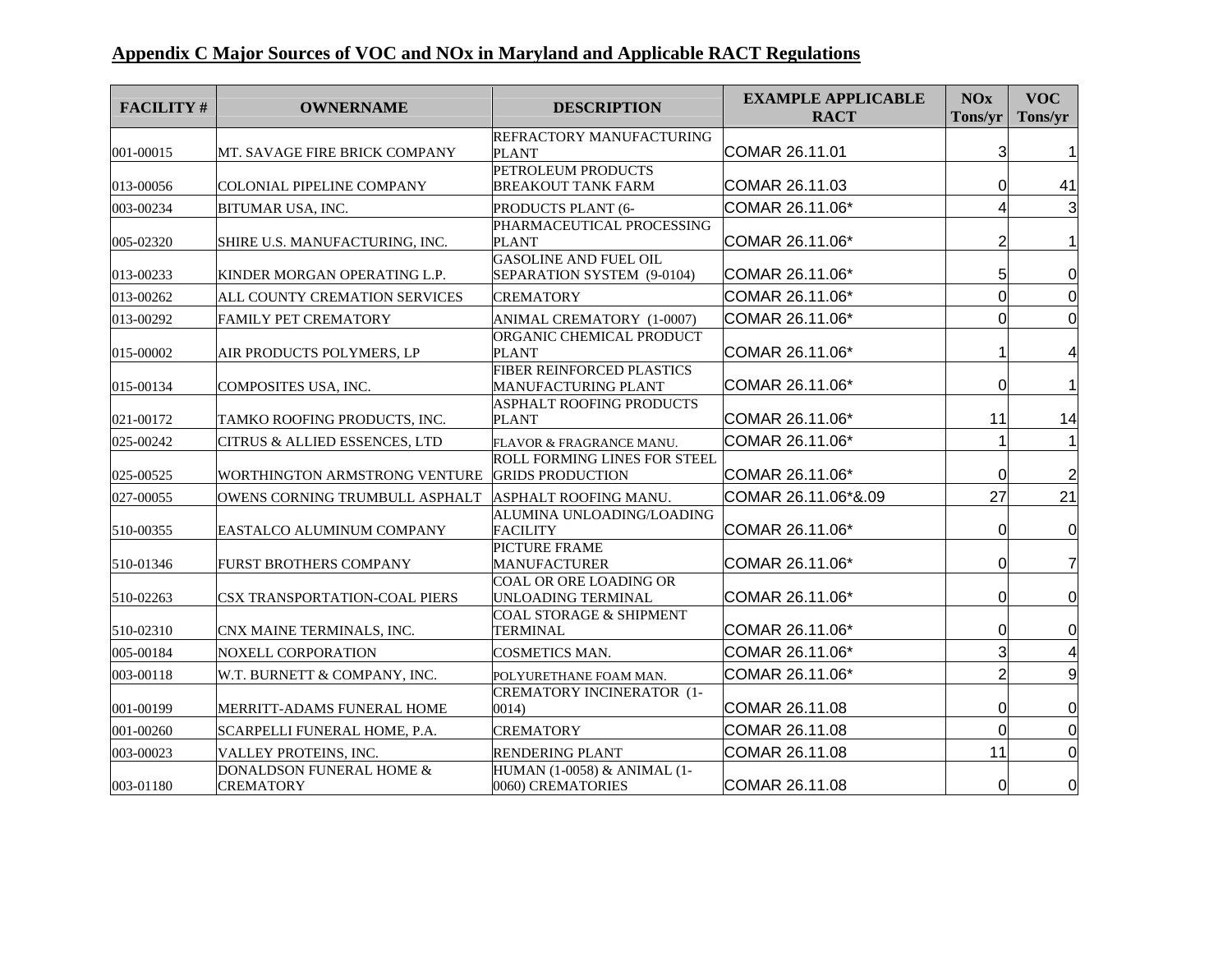## **Appendix C Major Sources of VOC and NOx in Maryland and Applicable RACT Regulations**

| <b>FACILITY#</b> | <b>OWNERNAME</b>                               | <b>DESCRIPTION</b>                                         | <b>EXAMPLE APPLICABLE</b><br><b>RACT</b> | <b>NOx</b><br>Tons/yr | <b>VOC</b><br>Tons/yr |
|------------------|------------------------------------------------|------------------------------------------------------------|------------------------------------------|-----------------------|-----------------------|
|                  |                                                | REFRACTORY MANUFACTURING                                   |                                          |                       |                       |
| 001-00015        | MT. SAVAGE FIRE BRICK COMPANY                  | <b>PLANT</b>                                               | COMAR 26.11.01                           | 3                     |                       |
| 013-00056        | <b>COLONIAL PIPELINE COMPANY</b>               | PETROLEUM PRODUCTS<br><b>BREAKOUT TANK FARM</b>            | COMAR 26.11.03                           | 0                     | 41                    |
| 003-00234        | <b>BITUMAR USA, INC.</b>                       | PRODUCTS PLANT (6-                                         | COMAR 26.11.06*                          | 4                     | 3                     |
|                  |                                                | PHARMACEUTICAL PROCESSING                                  |                                          |                       |                       |
| 005-02320        | SHIRE U.S. MANUFACTURING, INC.                 | PLANT                                                      | COMAR 26.11.06*                          | 2                     |                       |
| 013-00233        | KINDER MORGAN OPERATING L.P.                   | <b>GASOLINE AND FUEL OIL</b><br>SEPARATION SYSTEM (9-0104) | COMAR 26.11.06*                          | 5                     | 0                     |
| 013-00262        | ALL COUNTY CREMATION SERVICES                  | <b>CREMATORY</b>                                           | COMAR 26.11.06*                          | 0                     | $\Omega$              |
|                  |                                                |                                                            |                                          |                       |                       |
| 013-00292        | <b>FAMILY PET CREMATORY</b>                    | ANIMAL CREMATORY (1-0007)<br>ORGANIC CHEMICAL PRODUCT      | COMAR 26.11.06*                          | 0                     | 0                     |
| 015-00002        | AIR PRODUCTS POLYMERS, LP                      | <b>PLANT</b>                                               | COMAR 26.11.06*                          |                       | 4                     |
| 015-00134        | COMPOSITES USA, INC.                           | FIBER REINFORCED PLASTICS<br>MANUFACTURING PLANT           | COMAR 26.11.06*                          | 0                     | 1                     |
|                  |                                                | <b>ASPHALT ROOFING PRODUCTS</b>                            |                                          |                       |                       |
| 021-00172        | TAMKO ROOFING PRODUCTS, INC.                   | <b>PLANT</b>                                               | COMAR 26.11.06*                          | 11                    | 14                    |
| 025-00242        | CITRUS & ALLIED ESSENCES, LTD                  | FLAVOR & FRAGRANCE MANU.                                   | COMAR 26.11.06*                          |                       |                       |
|                  |                                                | <b>ROLL FORMING LINES FOR STEEL</b>                        |                                          |                       |                       |
| 025-00525        | WORTHINGTON ARMSTRONG VENTURE GRIDS PRODUCTION |                                                            | COMAR 26.11.06*                          | 0                     | $\overline{c}$        |
| 027-00055        | OWENS CORNING TRUMBULL ASPHALT                 | ASPHALT ROOFING MANU.                                      | COMAR 26.11.06*&.09                      | 27                    | 21                    |
| 510-00355        | EASTALCO ALUMINUM COMPANY                      | ALUMINA UNLOADING/LOADING<br><b>FACILITY</b>               | COMAR 26.11.06*                          | 0                     | 0                     |
|                  |                                                | PICTURE FRAME                                              |                                          |                       |                       |
| 510-01346        | <b>FURST BROTHERS COMPANY</b>                  | <b>MANUFACTURER</b>                                        | COMAR 26.11.06*                          | 0                     | 7                     |
| 510-02263        | <b>CSX TRANSPORTATION-COAL PIERS</b>           | COAL OR ORE LOADING OR<br>UNLOADING TERMINAL               | COMAR 26.11.06*                          | 0                     | 0                     |
|                  |                                                | COAL STORAGE & SHIPMENT                                    |                                          |                       |                       |
| 510-02310        | CNX MAINE TERMINALS, INC.                      | TERMINAL                                                   | COMAR 26.11.06*                          | 0                     | 0                     |
| 005-00184        | <b>NOXELL CORPORATION</b>                      | <b>COSMETICS MAN.</b>                                      | COMAR 26.11.06*                          | 3                     | 4                     |
| 003-00118        | W.T. BURNETT & COMPANY, INC.                   | POLYURETHANE FOAM MAN.                                     | COMAR 26.11.06*                          | $\overline{2}$        | 9                     |
| 001-00199        | MERRITT-ADAMS FUNERAL HOME                     | <b>CREMATORY INCINERATOR (1-</b><br>0014)                  | COMAR 26.11.08                           | 0                     | 0                     |
| 001-00260        | SCARPELLI FUNERAL HOME, P.A.                   | <b>CREMATORY</b>                                           | COMAR 26.11.08                           | $\Omega$              | $\Omega$              |
| 003-00023        | VALLEY PROTEINS, INC.                          | RENDERING PLANT                                            | COMAR 26.11.08                           | 11                    | $\overline{0}$        |
|                  | DONALDSON FUNERAL HOME &                       | HUMAN (1-0058) & ANIMAL (1-                                |                                          |                       |                       |
| 003-01180        | <b>CREMATORY</b>                               | 0060) CREMATORIES                                          | COMAR 26.11.08                           | $\Omega$              | 0                     |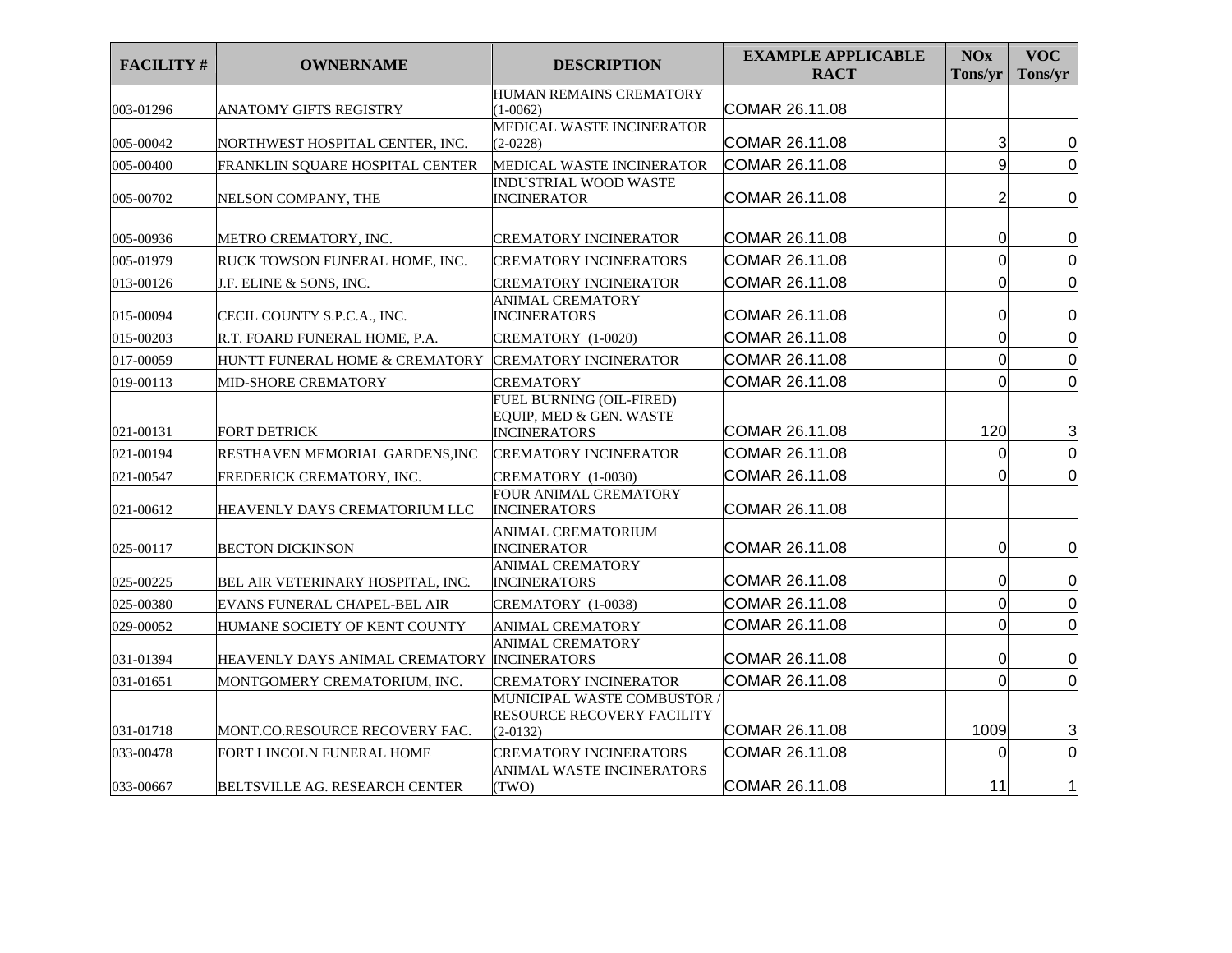| <b>FACILITY#</b> | <b>OWNERNAME</b>                            | <b>DESCRIPTION</b>                                                           | <b>EXAMPLE APPLICABLE</b><br><b>RACT</b> | <b>NOx</b><br>Tons/yr | <b>VOC</b><br>Tons/yr |
|------------------|---------------------------------------------|------------------------------------------------------------------------------|------------------------------------------|-----------------------|-----------------------|
| 003-01296        | ANATOMY GIFTS REGISTRY                      | HUMAN REMAINS CREMATORY<br>$(1-0062)$                                        | COMAR 26.11.08                           |                       |                       |
|                  |                                             | MEDICAL WASTE INCINERATOR                                                    |                                          |                       |                       |
| 005-00042        | NORTHWEST HOSPITAL CENTER, INC.             | $(2-0228)$                                                                   | COMAR 26.11.08                           | 3                     | 0                     |
| 005-00400        | FRANKLIN SOUARE HOSPITAL CENTER             | MEDICAL WASTE INCINERATOR                                                    | COMAR 26.11.08                           | 9                     | $\mathbf 0$           |
| 005-00702        | NELSON COMPANY, THE                         | <b>INDUSTRIAL WOOD WASTE</b><br><b>INCINERATOR</b>                           | COMAR 26.11.08                           | $\overline{c}$        | $\overline{0}$        |
| 005-00936        | METRO CREMATORY. INC.                       | <b>CREMATORY INCINERATOR</b>                                                 | COMAR 26.11.08                           | 0                     | $\overline{0}$        |
| 005-01979        | RUCK TOWSON FUNERAL HOME, INC.              | <b>CREMATORY INCINERATORS</b>                                                | COMAR 26.11.08                           | 0                     | $\mathbf 0$           |
| 013-00126        | J.F. ELINE & SONS, INC.                     | CREMATORY INCINERATOR                                                        | COMAR 26.11.08                           | $\overline{0}$        | $\mathbf 0$           |
| 015-00094        | CECIL COUNTY S.P.C.A., INC.                 | <b>ANIMAL CREMATORY</b><br><b>INCINERATORS</b>                               | COMAR 26.11.08                           | 0                     | $\mathbf 0$           |
| 015-00203        | R.T. FOARD FUNERAL HOME, P.A.               | CREMATORY (1-0020)                                                           | COMAR 26.11.08                           | $\overline{0}$        | $\mathbf 0$           |
| 017-00059        | HUNTT FUNERAL HOME & CREMATORY              | <b>CREMATORY INCINERATOR</b>                                                 | COMAR 26.11.08                           | $\overline{0}$        | $\mathbf 0$           |
| 019-00113        | MID-SHORE CREMATORY                         | <b>CREMATORY</b>                                                             | COMAR 26.11.08                           | $\Omega$              | $\mathbf 0$           |
| 021-00131        | <b>FORT DETRICK</b>                         | FUEL BURNING (OIL-FIRED)<br>EQUIP, MED & GEN. WASTE<br><b>INCINERATORS</b>   | COMAR 26.11.08                           | 120                   | 3                     |
| 021-00194        | RESTHAVEN MEMORIAL GARDENS, INC             | <b>CREMATORY INCINERATOR</b>                                                 | COMAR 26.11.08                           | $\mathbf 0$           | $\mathbf 0$           |
| 021-00547        | FREDERICK CREMATORY, INC.                   | CREMATORY (1-0030)                                                           | COMAR 26.11.08                           | $\Omega$              | $\Omega$              |
| 021-00612        | HEAVENLY DAYS CREMATORIUM LLC               | FOUR ANIMAL CREMATORY<br><b>INCINERATORS</b>                                 | COMAR 26.11.08                           |                       |                       |
| 025-00117        | <b>BECTON DICKINSON</b>                     | <b>ANIMAL CREMATORIUM</b><br><b>INCINERATOR</b>                              | COMAR 26.11.08                           | 0                     | $\mathbf 0$           |
| 025-00225        | BEL AIR VETERINARY HOSPITAL. INC.           | <b>ANIMAL CREMATORY</b><br><b>INCINERATORS</b>                               | COMAR 26.11.08                           | $\Omega$              | $\mathbf 0$           |
| 025-00380        | EVANS FUNERAL CHAPEL-BEL AIR                | CREMATORY (1-0038)                                                           | COMAR 26.11.08                           | 0                     | $\mathbf 0$           |
| 029-00052        | HUMANE SOCIETY OF KENT COUNTY               | <b>ANIMAL CREMATORY</b>                                                      | COMAR 26.11.08                           | $\overline{0}$        | $\mathbf 0$           |
| 031-01394        | HEAVENLY DAYS ANIMAL CREMATORY INCINERATORS | <b>ANIMAL CREMATORY</b>                                                      | COMAR 26.11.08                           | 0                     | $\mathbf 0$           |
| 031-01651        | MONTGOMERY CREMATORIUM, INC.                | <b>CREMATORY INCINERATOR</b>                                                 | COMAR 26.11.08                           | 0                     | $\mathbf 0$           |
| 031-01718        | MONT.CO.RESOURCE RECOVERY FAC.              | MUNICIPAL WASTE COMBUSTOR<br><b>RESOURCE RECOVERY FACILITY</b><br>$(2-0132)$ | COMAR 26.11.08                           | 1009                  | 3                     |
| 033-00478        | FORT LINCOLN FUNERAL HOME                   | <b>CREMATORY INCINERATORS</b>                                                | COMAR 26.11.08                           | $\Omega$              | $\mathbf 0$           |
| 033-00667        | <b>BELTSVILLE AG. RESEARCH CENTER</b>       | <b>ANIMAL WASTE INCINERATORS</b><br>(TWO)                                    | COMAR 26.11.08                           | 11                    | 1                     |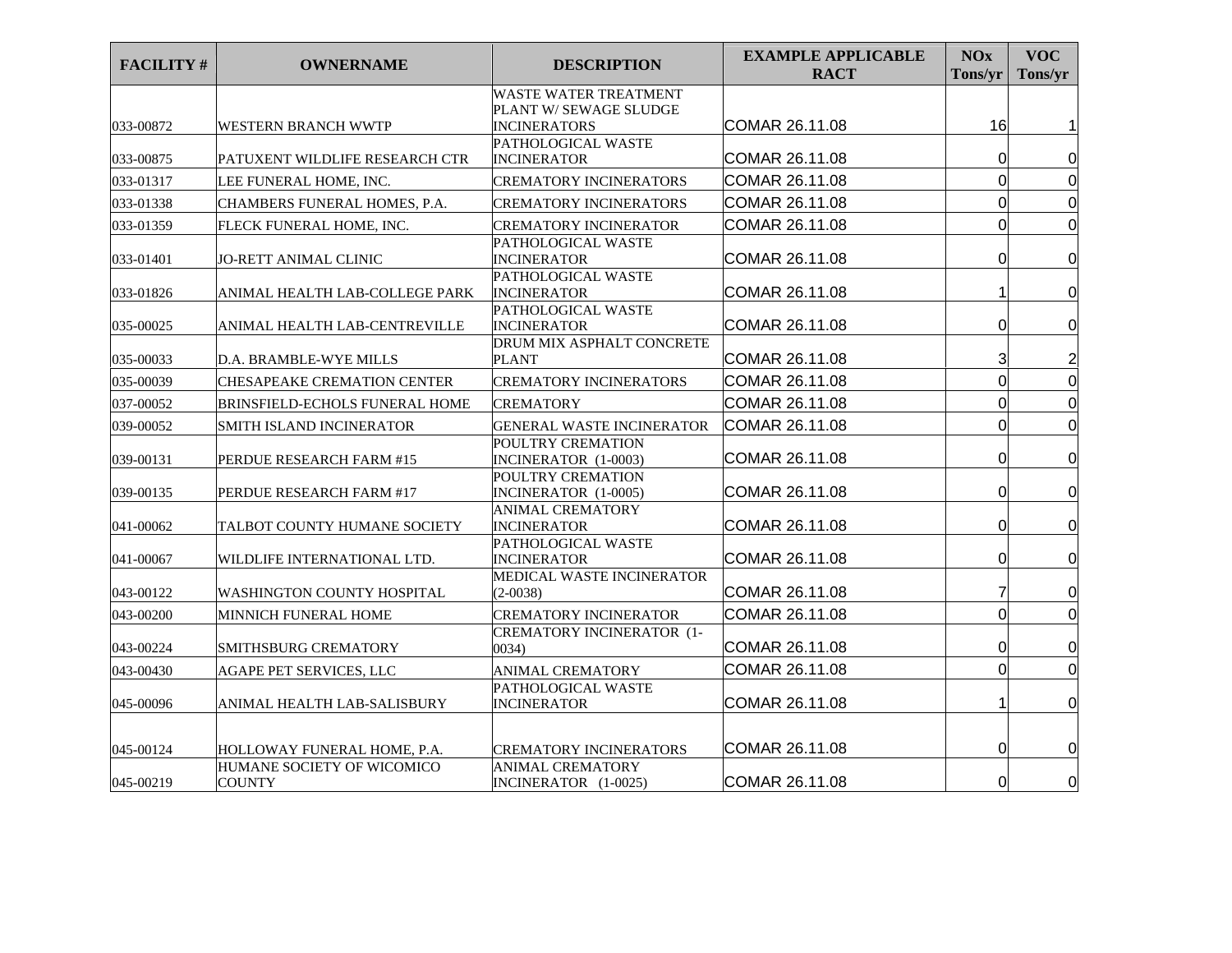| <b>FACILITY#</b> | <b>OWNERNAME</b>                            | <b>DESCRIPTION</b>                              | <b>EXAMPLE APPLICABLE</b><br><b>RACT</b> | <b>NOx</b><br>Tons/yr | <b>VOC</b><br>Tons/yr   |
|------------------|---------------------------------------------|-------------------------------------------------|------------------------------------------|-----------------------|-------------------------|
|                  |                                             | WASTE WATER TREATMENT<br>PLANT W/ SEWAGE SLUDGE |                                          |                       |                         |
| 033-00872        | <b>WESTERN BRANCH WWTP</b>                  | <b>INCINERATORS</b><br>PATHOLOGICAL WASTE       | COMAR 26.11.08                           | 16                    |                         |
| 033-00875        | PATUXENT WILDLIFE RESEARCH CTR              | <b>INCINERATOR</b>                              | COMAR 26.11.08                           | 0                     | 0                       |
| 033-01317        | LEE FUNERAL HOME, INC.                      | CREMATORY INCINERATORS                          | COMAR 26.11.08                           | $\overline{0}$        | $\mathbf 0$             |
| 033-01338        | CHAMBERS FUNERAL HOMES, P.A.                | <b>CREMATORY INCINERATORS</b>                   | COMAR 26.11.08                           | $\Omega$              | $\overline{0}$          |
| 033-01359        | FLECK FUNERAL HOME, INC.                    | CREMATORY INCINERATOR                           | COMAR 26.11.08                           | 0                     | $\overline{0}$          |
| 033-01401        | <b>JO-RETT ANIMAL CLINIC</b>                | PATHOLOGICAL WASTE<br>INCINERATOR               | COMAR 26.11.08                           | 0                     | $\overline{0}$          |
| 033-01826        | ANIMAL HEALTH LAB-COLLEGE PARK              | PATHOLOGICAL WASTE<br><b>INCINERATOR</b>        | COMAR 26.11.08                           |                       | $\overline{0}$          |
| 035-00025        | ANIMAL HEALTH LAB-CENTREVILLE               | PATHOLOGICAL WASTE<br><b>INCINERATOR</b>        | COMAR 26.11.08                           | 0                     | $\mathbf 0$             |
| 035-00033        | <b>D.A. BRAMBLE-WYE MILLS</b>               | DRUM MIX ASPHALT CONCRETE<br><b>PLANT</b>       | COMAR 26.11.08                           | 3                     | $\overline{\mathbf{c}}$ |
| 035-00039        | <b>CHESAPEAKE CREMATION CENTER</b>          | <b>CREMATORY INCINERATORS</b>                   | COMAR 26.11.08                           | 0                     | $\mathbf 0$             |
| 037-00052        | <b>BRINSFIELD-ECHOLS FUNERAL HOME</b>       | <b>CREMATORY</b>                                | COMAR 26.11.08                           | $\Omega$              | $\mathbf 0$             |
| 039-00052        | SMITH ISLAND INCINERATOR                    | <b>GENERAL WASTE INCINERATOR</b>                | COMAR 26.11.08                           | 0                     | $\overline{0}$          |
| 039-00131        | PERDUE RESEARCH FARM #15                    | POULTRY CREMATION<br>INCINERATOR (1-0003)       | COMAR 26.11.08                           | 0                     | $\overline{0}$          |
| 039-00135        | PERDUE RESEARCH FARM #17                    | POULTRY CREMATION<br>INCINERATOR (1-0005)       | COMAR 26.11.08                           | 0                     | 0                       |
| 041-00062        | TALBOT COUNTY HUMANE SOCIETY                | <b>ANIMAL CREMATORY</b><br><b>INCINERATOR</b>   | COMAR 26.11.08                           | 0                     | 0                       |
| 041-00067        | WILDLIFE INTERNATIONAL LTD.                 | PATHOLOGICAL WASTE<br><b>INCINERATOR</b>        | COMAR 26.11.08                           | 0                     | $\overline{0}$          |
| 043-00122        | WASHINGTON COUNTY HOSPITAL                  | MEDICAL WASTE INCINERATOR<br>$(2-0038)$         | COMAR 26.11.08                           | 7                     | $\mathbf 0$             |
| 043-00200        | MINNICH FUNERAL HOME                        | <b>CREMATORY INCINERATOR</b>                    | COMAR 26.11.08                           | $\overline{0}$        | $\overline{0}$          |
| 043-00224        | SMITHSBURG CREMATORY                        | CREMATORY INCINERATOR (1-<br>(0034)             | COMAR 26.11.08                           | 0                     | 0                       |
| 043-00430        | AGAPE PET SERVICES, LLC                     | <b>ANIMAL CREMATORY</b>                         | COMAR 26.11.08                           | $\overline{0}$        | $\mathbf 0$             |
| 045-00096        | ANIMAL HEALTH LAB-SALISBURY                 | PATHOLOGICAL WASTE<br>INCINERATOR               | COMAR 26.11.08                           |                       | $\overline{0}$          |
| 045-00124        | HOLLOWAY FUNERAL HOME, P.A.                 | <b>CREMATORY INCINERATORS</b>                   | COMAR 26.11.08                           | 0                     | 0                       |
| 045-00219        | HUMANE SOCIETY OF WICOMICO<br><b>COUNTY</b> | <b>ANIMAL CREMATORY</b><br>INCINERATOR (1-0025) | COMAR 26.11.08                           | 0                     | 0                       |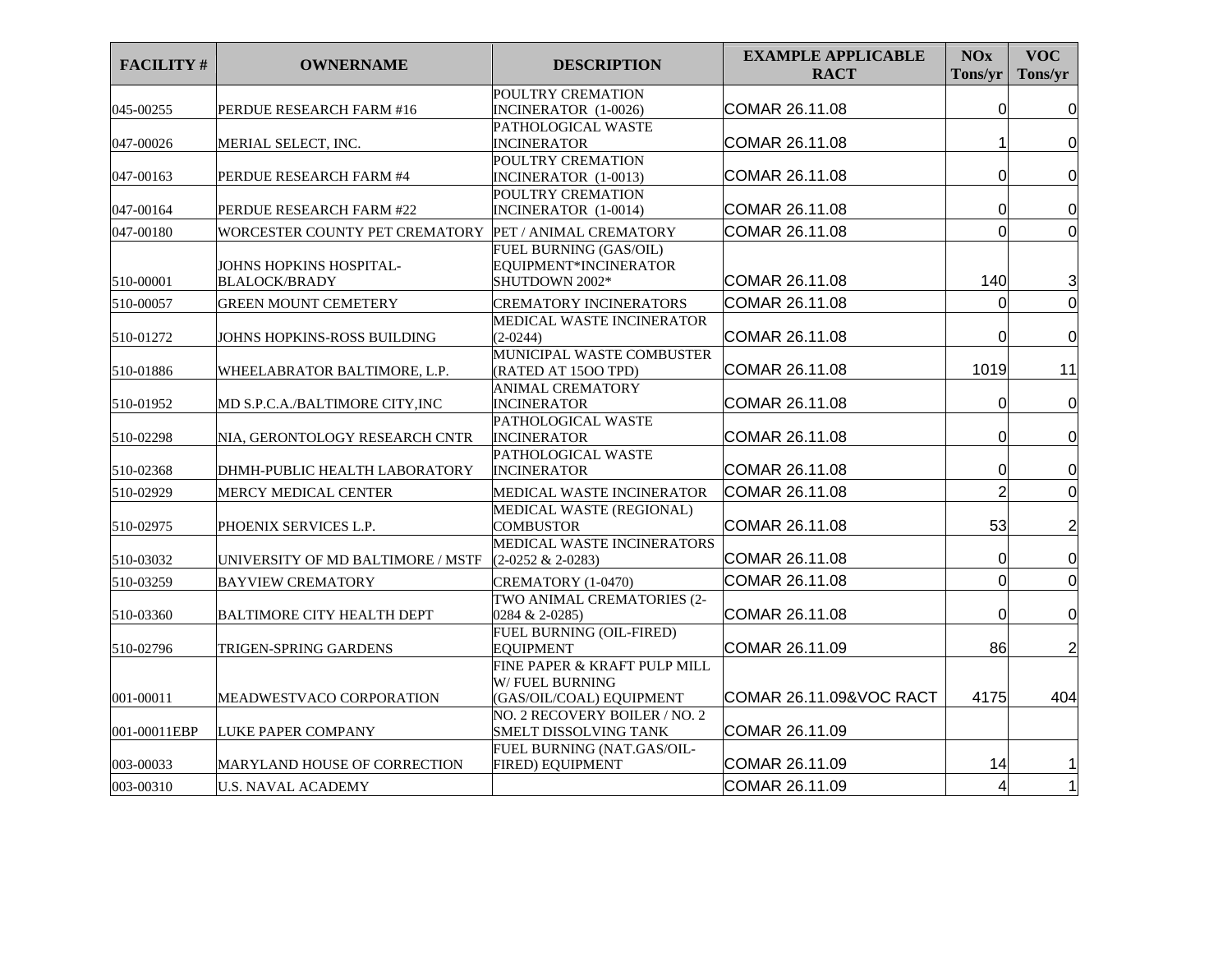| <b>FACILITY#</b> | <b>OWNERNAME</b>                                      | <b>DESCRIPTION</b>                                                | <b>EXAMPLE APPLICABLE</b><br><b>RACT</b> | <b>NOx</b><br>Tons/yr | <b>VOC</b><br>Tons/yr   |
|------------------|-------------------------------------------------------|-------------------------------------------------------------------|------------------------------------------|-----------------------|-------------------------|
|                  |                                                       | POULTRY CREMATION                                                 |                                          |                       |                         |
| 045-00255        | PERDUE RESEARCH FARM #16                              | INCINERATOR (1-0026)<br>PATHOLOGICAL WASTE                        | COMAR 26.11.08                           | 0                     | 0                       |
| 047-00026        | MERIAL SELECT, INC.                                   | <b>INCINERATOR</b>                                                | COMAR 26.11.08                           |                       | 0                       |
|                  |                                                       | POULTRY CREMATION                                                 |                                          |                       |                         |
| 047-00163        | PERDUE RESEARCH FARM #4                               | INCINERATOR (1-0013)                                              | COMAR 26.11.08                           | 0                     | 0                       |
|                  |                                                       | POULTRY CREMATION                                                 |                                          |                       |                         |
| 047-00164        | PERDUE RESEARCH FARM #22                              | INCINERATOR (1-0014)                                              | COMAR 26.11.08                           | $\Omega$              | $\mathbf 0$             |
| 047-00180        | WORCESTER COUNTY PET CREMATORY PET / ANIMAL CREMATORY |                                                                   | COMAR 26.11.08                           | $\Omega$              | $\overline{0}$          |
| 510-00001        | JOHNS HOPKINS HOSPITAL-<br><b>BLALOCK/BRADY</b>       | FUEL BURNING (GAS/OIL)<br>EQUIPMENT*INCINERATOR<br>SHUTDOWN 2002* | COMAR 26.11.08                           | 140                   | 3                       |
| 510-00057        | <b>GREEN MOUNT CEMETERY</b>                           | <b>CREMATORY INCINERATORS</b>                                     | COMAR 26.11.08                           | $\Omega$              | $\overline{0}$          |
|                  |                                                       | MEDICAL WASTE INCINERATOR                                         |                                          |                       |                         |
| 510-01272        | JOHNS HOPKINS-ROSS BUILDING                           | $(2-0244)$                                                        | COMAR 26.11.08                           | 0                     | $\mathbf 0$             |
| 510-01886        | WHEELABRATOR BALTIMORE, L.P.                          | MUNICIPAL WASTE COMBUSTER<br>(RATED AT 1500 TPD)                  | COMAR 26.11.08                           | 1019                  | 11                      |
| 510-01952        | MD S.P.C.A./BALTIMORE CITY, INC                       | <b>ANIMAL CREMATORY</b><br><b>INCINERATOR</b>                     | COMAR 26.11.08                           | 0                     | $\overline{0}$          |
| 510-02298        | NIA, GERONTOLOGY RESEARCH CNTR                        | PATHOLOGICAL WASTE<br><b>INCINERATOR</b>                          | COMAR 26.11.08                           | $\Omega$              | $\mathbf 0$             |
| 510-02368        | DHMH-PUBLIC HEALTH LABORATORY                         | PATHOLOGICAL WASTE<br><b>INCINERATOR</b>                          | COMAR 26.11.08                           | 0                     | 0                       |
| 510-02929        | MERCY MEDICAL CENTER                                  | MEDICAL WASTE INCINERATOR                                         | COMAR 26.11.08                           | $\overline{2}$        | $\overline{0}$          |
| 510-02975        | PHOENIX SERVICES L.P.                                 | <b>MEDICAL WASTE (REGIONAL)</b><br><b>COMBUSTOR</b>               | COMAR 26.11.08                           | 53                    | $\overline{\mathbf{c}}$ |
| 510-03032        | UNIVERSITY OF MD BALTIMORE / MSTF                     | MEDICAL WASTE INCINERATORS<br>$(2-0252 \& 2-0283)$                | COMAR 26.11.08                           | 0                     | $\mathbf 0$             |
| 510-03259        | <b>BAYVIEW CREMATORY</b>                              | CREMATORY (1-0470)                                                | COMAR 26.11.08                           | 0                     | $\mathbf 0$             |
| 510-03360        | <b>BALTIMORE CITY HEALTH DEPT</b>                     | TWO ANIMAL CREMATORIES (2-<br>0284 & 2-0285)                      | COMAR 26.11.08                           | $\Omega$              | $\overline{0}$          |
| 510-02796        | TRIGEN-SPRING GARDENS                                 | FUEL BURNING (OIL-FIRED)<br><b>EQUIPMENT</b>                      | COMAR 26.11.09                           | 86                    | $\overline{2}$          |
|                  |                                                       | FINE PAPER & KRAFT PULP MILL<br>W/ FUEL BURNING                   | <b>COMAR 26.11.09&amp;VOC RACT</b>       | 4175                  | 404                     |
| 001-00011        | MEADWESTVACO CORPORATION                              | (GAS/OIL/COAL) EQUIPMENT<br>NO. 2 RECOVERY BOILER / NO. 2         |                                          |                       |                         |
| 001-00011EBP     | LUKE PAPER COMPANY                                    | SMELT DISSOLVING TANK                                             | COMAR 26.11.09                           |                       |                         |
| 003-00033        | MARYLAND HOUSE OF CORRECTION                          | FUEL BURNING (NAT.GAS/OIL-<br>FIRED) EQUIPMENT                    | COMAR 26.11.09                           | 14                    |                         |
| 003-00310        | <b>U.S. NAVAL ACADEMY</b>                             |                                                                   | COMAR 26.11.09                           | 4                     | $\mathbf{1}$            |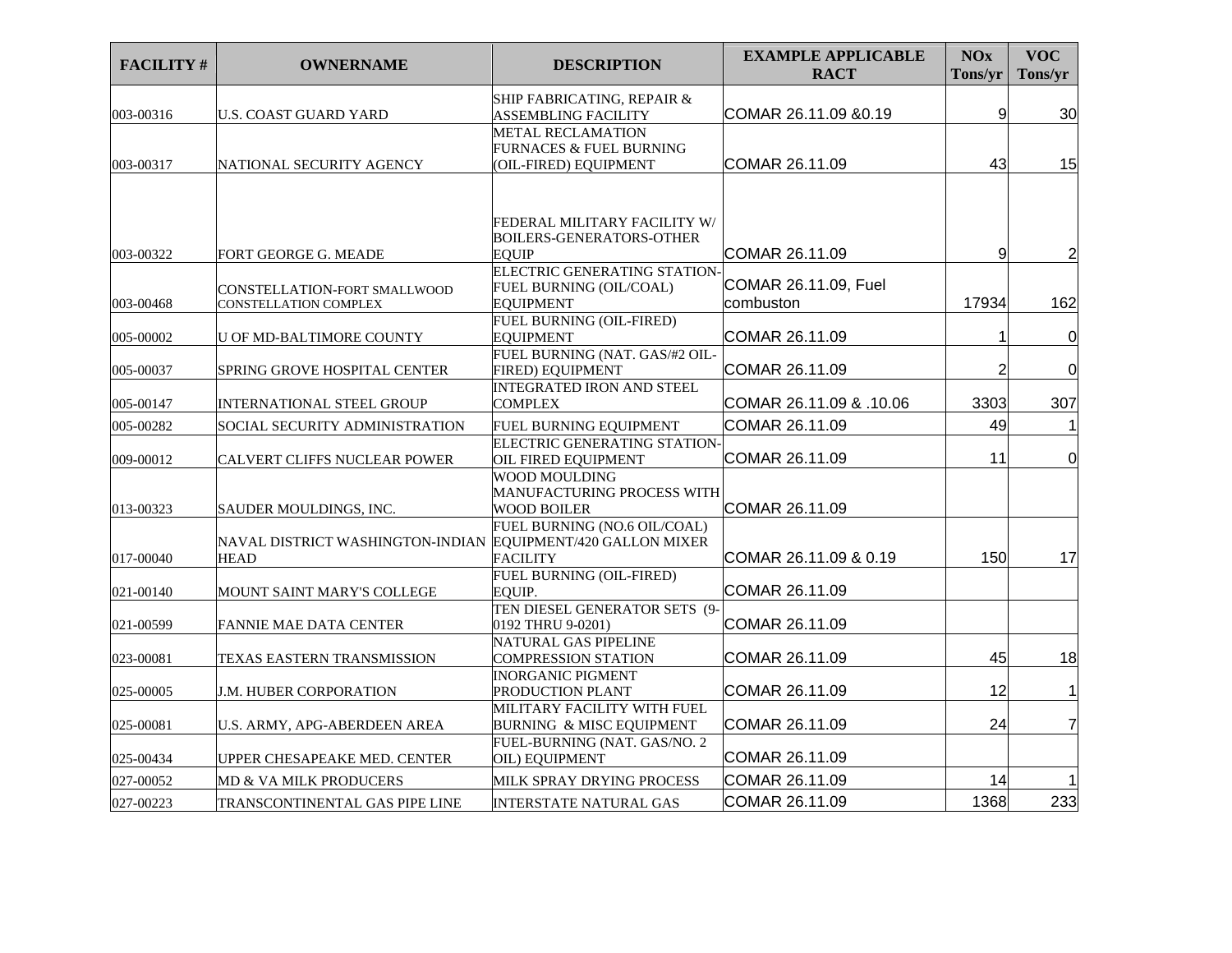| <b>FACILITY#</b> | <b>OWNERNAME</b>                                                           | <b>DESCRIPTION</b>                                                           | <b>EXAMPLE APPLICABLE</b><br><b>RACT</b> | <b>NOx</b><br>Tons/yr | <b>VOC</b><br>Tons/yr |
|------------------|----------------------------------------------------------------------------|------------------------------------------------------------------------------|------------------------------------------|-----------------------|-----------------------|
|                  |                                                                            | SHIP FABRICATING, REPAIR &                                                   |                                          |                       |                       |
| 003-00316        | U.S. COAST GUARD YARD                                                      | ASSEMBLING FACILITY                                                          | COMAR 26.11.09 & 0.19                    | 9                     | 30                    |
| 003-00317        | NATIONAL SECURITY AGENCY                                                   | <b>METAL RECLAMATION</b><br>FURNACES & FUEL BURNING<br>(OIL-FIRED) EQUIPMENT | COMAR 26.11.09                           | 43                    | 15                    |
|                  |                                                                            | FEDERAL MILITARY FACILITY W/<br><b>BOILERS-GENERATORS-OTHER</b>              |                                          |                       |                       |
| 003-00322        | FORT GEORGE G. MEADE                                                       | <b>EOUIP</b><br>ELECTRIC GENERATING STATION-                                 | COMAR 26.11.09                           | 9                     | $\overline{c}$        |
| 003-00468        | CONSTELLATION-FORT SMALLWOOD<br>CONSTELLATION COMPLEX                      | FUEL BURNING (OIL/COAL)<br><b>EQUIPMENT</b>                                  | COMAR 26.11.09, Fuel<br>combuston        | 17934                 | 162                   |
| 005-00002        | <b>U OF MD-BALTIMORE COUNTY</b>                                            | FUEL BURNING (OIL-FIRED)<br>EOUIPMENT                                        | COMAR 26.11.09                           |                       | $\mathbf 0$           |
| 005-00037        | SPRING GROVE HOSPITAL CENTER                                               | FUEL BURNING (NAT. GAS/#2 OIL-<br>FIRED) EQUIPMENT                           | COMAR 26.11.09                           | $\overline{2}$        | $\overline{0}$        |
| 005-00147        | <b>INTERNATIONAL STEEL GROUP</b>                                           | <b>INTEGRATED IRON AND STEEL</b><br><b>COMPLEX</b>                           | COMAR 26.11.09 & .10.06                  | 3303                  | 307                   |
| 005-00282        | SOCIAL SECURITY ADMINISTRATION                                             | FUEL BURNING EQUIPMENT                                                       | COMAR 26.11.09                           | 49                    |                       |
| 009-00012        | CALVERT CLIFFS NUCLEAR POWER                                               | ELECTRIC GENERATING STATION<br>OIL FIRED EQUIPMENT                           | COMAR 26.11.09                           | 11                    | $\overline{0}$        |
| 013-00323        | SAUDER MOULDINGS, INC.                                                     | WOOD MOULDING<br>MANUFACTURING PROCESS WITH<br><b>WOOD BOILER</b>            | COMAR 26.11.09                           |                       |                       |
| 017-00040        | NAVAL DISTRICT WASHINGTON-INDIAN EQUIPMENT/420 GALLON MIXER<br><b>HEAD</b> | FUEL BURNING (NO.6 OIL/COAL)<br><b>FACILITY</b>                              | COMAR 26.11.09 & 0.19                    | 150                   | 17                    |
| 021-00140        | MOUNT SAINT MARY'S COLLEGE                                                 | <b>FUEL BURNING (OIL-FIRED)</b><br>EOUIP.                                    | COMAR 26.11.09                           |                       |                       |
| 021-00599        | <b>FANNIE MAE DATA CENTER</b>                                              | TEN DIESEL GENERATOR SETS (9-<br>0192 THRU 9-0201)                           | COMAR 26.11.09                           |                       |                       |
| 023-00081        | TEXAS EASTERN TRANSMISSION                                                 | NATURAL GAS PIPELINE<br><b>COMPRESSION STATION</b>                           | COMAR 26.11.09                           | 45                    | 18                    |
| 025-00005        | J.M. HUBER CORPORATION                                                     | <b>INORGANIC PIGMENT</b><br>PRODUCTION PLANT                                 | COMAR 26.11.09                           | 12                    | 1                     |
| 025-00081        | U.S. ARMY, APG-ABERDEEN AREA                                               | MILITARY FACILITY WITH FUEL<br>BURNING & MISC EQUIPMENT                      | COMAR 26.11.09                           | 24                    | 7                     |
| 025-00434        | UPPER CHESAPEAKE MED. CENTER                                               | FUEL-BURNING (NAT. GAS/NO. 2<br>OIL) EQUIPMENT                               | COMAR 26.11.09                           |                       |                       |
| 027-00052        | <b>MD &amp; VA MILK PRODUCERS</b>                                          | MILK SPRAY DRYING PROCESS                                                    | COMAR 26.11.09                           | 14                    |                       |
| 027-00223        | TRANSCONTINENTAL GAS PIPE LINE                                             | <b>INTERSTATE NATURAL GAS</b>                                                | COMAR 26.11.09                           | 1368                  | 233                   |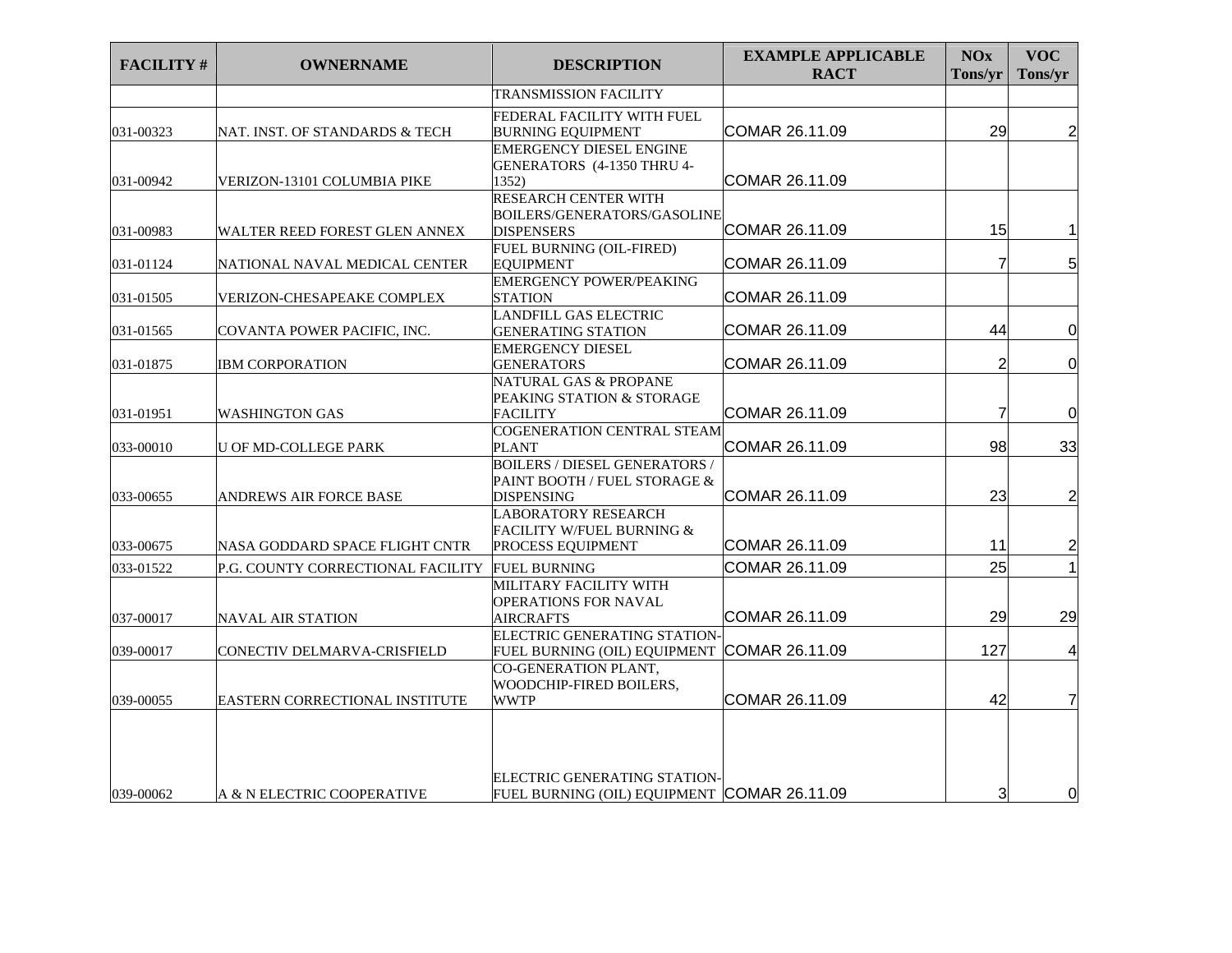| <b>FACILITY#</b> | <b>OWNERNAME</b>                      | <b>DESCRIPTION</b>                                                                        | <b>EXAMPLE APPLICABLE</b><br><b>RACT</b> | <b>NOx</b><br>Tons/yr | <b>VOC</b><br>Tons/yr   |
|------------------|---------------------------------------|-------------------------------------------------------------------------------------------|------------------------------------------|-----------------------|-------------------------|
|                  |                                       | <b>TRANSMISSION FACILITY</b>                                                              |                                          |                       |                         |
| 031-00323        | NAT. INST. OF STANDARDS & TECH        | FEDERAL FACILITY WITH FUEL<br><b>BURNING EQUIPMENT</b>                                    | COMAR 26.11.09                           | 29                    | $\overline{2}$          |
| 031-00942        | VERIZON-13101 COLUMBIA PIKE           | <b>EMERGENCY DIESEL ENGINE</b><br>GENERATORS (4-1350 THRU 4-<br>1352)                     | COMAR 26.11.09                           |                       |                         |
| 031-00983        | WALTER REED FOREST GLEN ANNEX         | <b>RESEARCH CENTER WITH</b><br>BOILERS/GENERATORS/GASOLINE<br><b>DISPENSERS</b>           | COMAR 26.11.09                           | 15                    | 1                       |
| 031-01124        | NATIONAL NAVAL MEDICAL CENTER         | <b>FUEL BURNING (OIL-FIRED)</b><br><b>EQUIPMENT</b>                                       | COMAR 26.11.09                           | 7                     | 5 <sup>1</sup>          |
| 031-01505        | VERIZON-CHESAPEAKE COMPLEX            | <b>EMERGENCY POWER/PEAKING</b><br><b>STATION</b>                                          | COMAR 26.11.09                           |                       |                         |
| 031-01565        | COVANTA POWER PACIFIC, INC.           | <b>LANDFILL GAS ELECTRIC</b><br><b>GENERATING STATION</b>                                 | COMAR 26.11.09                           | 44                    | $\mathbf 0$             |
| 031-01875        | <b>IBM CORPORATION</b>                | <b>EMERGENCY DIESEL</b><br><b>GENERATORS</b>                                              | COMAR 26.11.09                           | $\overline{2}$        | $\mathbf 0$             |
| 031-01951        | <b>WASHINGTON GAS</b>                 | <b>NATURAL GAS &amp; PROPANE</b><br>PEAKING STATION & STORAGE<br>FACILITY                 | COMAR 26.11.09                           | $\overline{7}$        | 0                       |
| 033-00010        | <b>U OF MD-COLLEGE PARK</b>           | COGENERATION CENTRAL STEAM<br><b>PLANT</b>                                                | COMAR 26.11.09                           | 98                    | 33                      |
| 033-00655        | ANDREWS AIR FORCE BASE                | <b>BOILERS / DIESEL GENERATORS /</b><br>PAINT BOOTH / FUEL STORAGE &<br><b>DISPENSING</b> | COMAR 26.11.09                           | 23                    | $\overline{c}$          |
| 033-00675        | NASA GODDARD SPACE FLIGHT CNTR        | <b>LABORATORY RESEARCH</b><br>FACILITY W/FUEL BURNING &<br>PROCESS EQUIPMENT              | COMAR 26.11.09                           | 11                    | $\overline{\mathbf{c}}$ |
| 033-01522        | P.G. COUNTY CORRECTIONAL FACILITY     | <b>FUEL BURNING</b><br>MILITARY FACILITY WITH                                             | COMAR 26.11.09                           | 25                    | 1                       |
| 037-00017        | <b>NAVAL AIR STATION</b>              | <b>OPERATIONS FOR NAVAL</b><br><b>AIRCRAFTS</b>                                           | COMAR 26.11.09                           | 29                    | 29                      |
| 039-00017        | CONECTIV DELMARVA-CRISFIELD           | ELECTRIC GENERATING STATION-<br>FUEL BURNING (OIL) EQUIPMENT                              | COMAR 26.11.09                           | 127                   | $\overline{4}$          |
| 039-00055        | <b>EASTERN CORRECTIONAL INSTITUTE</b> | CO-GENERATION PLANT,<br>WOODCHIP-FIRED BOILERS,<br><b>WWTP</b>                            | COMAR 26.11.09                           | 42                    | $\overline{7}$          |
| 039-00062        | A & N ELECTRIC COOPERATIVE            | ELECTRIC GENERATING STATION-<br>FUEL BURNING (OIL) EQUIPMENT COMAR 26.11.09               |                                          | 3                     | 0                       |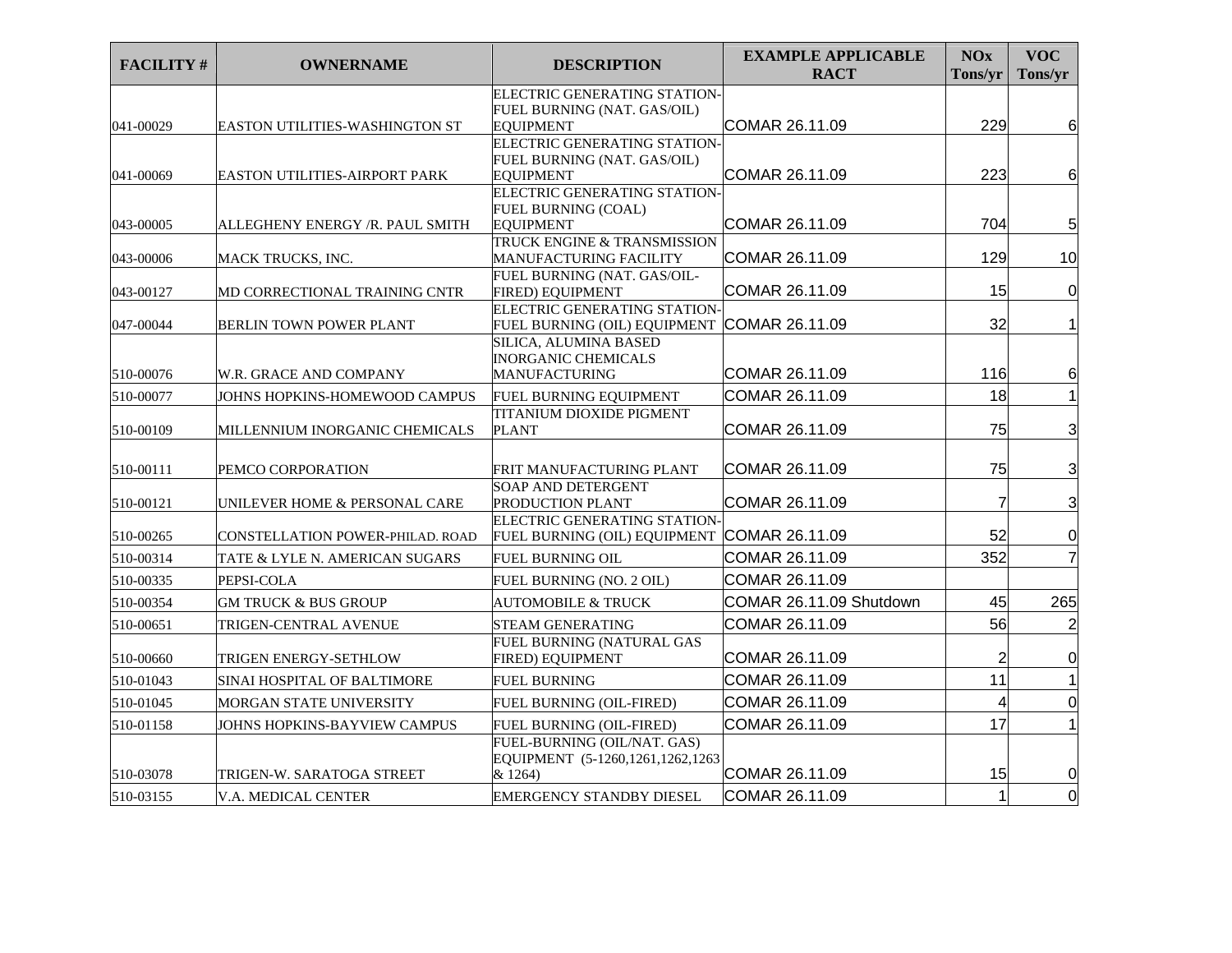| <b>FACILITY#</b> | <b>OWNERNAME</b>                 | <b>DESCRIPTION</b>                                    | <b>EXAMPLE APPLICABLE</b><br><b>RACT</b> | <b>NOx</b><br>Tons/yr | <b>VOC</b><br>Tons/yr |
|------------------|----------------------------------|-------------------------------------------------------|------------------------------------------|-----------------------|-----------------------|
|                  |                                  | ELECTRIC GENERATING STATION-                          |                                          |                       |                       |
| 041-00029        | EASTON UTILITIES-WASHINGTON ST   | FUEL BURNING (NAT. GAS/OIL)<br><b>EOUIPMENT</b>       | COMAR 26.11.09                           | 229                   | 6                     |
|                  |                                  | ELECTRIC GENERATING STATION-                          |                                          |                       |                       |
|                  |                                  | FUEL BURNING (NAT. GAS/OIL)                           |                                          |                       |                       |
| 041-00069        | EASTON UTILITIES-AIRPORT PARK    | <b>EQUIPMENT</b>                                      | COMAR 26.11.09                           | 223                   | 6                     |
|                  |                                  | ELECTRIC GENERATING STATION-                          |                                          |                       |                       |
|                  |                                  | <b>FUEL BURNING (COAL)</b>                            |                                          |                       |                       |
| 043-00005        | ALLEGHENY ENERGY /R. PAUL SMITH  | <b>EQUIPMENT</b>                                      | COMAR 26.11.09                           | 704                   | 5                     |
| 043-00006        | MACK TRUCKS, INC.                | TRUCK ENGINE & TRANSMISSION<br>MANUFACTURING FACILITY | COMAR 26.11.09                           | 129                   | 10                    |
|                  |                                  | FUEL BURNING (NAT. GAS/OIL-                           |                                          |                       |                       |
| 043-00127        | MD CORRECTIONAL TRAINING CNTR    | FIRED) EQUIPMENT                                      | COMAR 26.11.09                           | 15                    | $\overline{0}$        |
|                  |                                  | ELECTRIC GENERATING STATION-                          |                                          |                       |                       |
| 047-00044        | <b>BERLIN TOWN POWER PLANT</b>   | FUEL BURNING (OIL) EQUIPMENT COMAR 26.11.09           |                                          | 32                    | $\mathbf{1}$          |
|                  |                                  | SILICA, ALUMINA BASED                                 |                                          |                       |                       |
|                  |                                  | <b>INORGANIC CHEMICALS</b>                            |                                          |                       |                       |
| 510-00076        | W.R. GRACE AND COMPANY           | <b>MANUFACTURING</b>                                  | COMAR 26.11.09                           | 116                   | 6                     |
| 510-00077        | JOHNS HOPKINS-HOMEWOOD CAMPUS    | FUEL BURNING EQUIPMENT                                | COMAR 26.11.09                           | 18                    |                       |
| 510-00109        | MILLENNIUM INORGANIC CHEMICALS   | TITANIUM DIOXIDE PIGMENT                              | COMAR 26.11.09                           | 75                    | $\overline{3}$        |
|                  |                                  | <b>PLANT</b>                                          |                                          |                       |                       |
|                  |                                  |                                                       | COMAR 26.11.09                           | 75                    | 3                     |
| 510-00111        | PEMCO CORPORATION                | FRIT MANUFACTURING PLANT<br><b>SOAP AND DETERGENT</b> |                                          |                       |                       |
| 510-00121        | UNILEVER HOME & PERSONAL CARE    | PRODUCTION PLANT                                      | COMAR 26.11.09                           | $\overline{7}$        | 3                     |
|                  |                                  | ELECTRIC GENERATING STATION                           |                                          |                       |                       |
| 510-00265        | CONSTELLATION POWER-PHILAD. ROAD | FUEL BURNING (OIL) EQUIPMENT                          | COMAR 26.11.09                           | 52                    | $\overline{0}$        |
| 510-00314        | TATE & LYLE N. AMERICAN SUGARS   | <b>FUEL BURNING OIL</b>                               | COMAR 26.11.09                           | 352                   | $\overline{7}$        |
| 510-00335        | PEPSI-COLA                       | FUEL BURNING (NO. 2 OIL)                              | COMAR 26.11.09                           |                       |                       |
| 510-00354        | <b>GM TRUCK &amp; BUS GROUP</b>  | <b>AUTOMOBILE &amp; TRUCK</b>                         | COMAR 26.11.09 Shutdown                  | 45                    | 265                   |
| 510-00651        | TRIGEN-CENTRAL AVENUE            | STEAM GENERATING                                      | COMAR 26.11.09                           | 56                    | $\overline{c}$        |
|                  |                                  | FUEL BURNING (NATURAL GAS                             |                                          |                       |                       |
| 510-00660        | TRIGEN ENERGY-SETHLOW            | <b>FIRED) EQUIPMENT</b>                               | COMAR 26.11.09                           | $\overline{2}$        | $\Omega$              |
| 510-01043        | SINAI HOSPITAL OF BALTIMORE      | <b>FUEL BURNING</b>                                   | COMAR 26.11.09                           | 11                    |                       |
| 510-01045        | MORGAN STATE UNIVERSITY          | FUEL BURNING (OIL-FIRED)                              | COMAR 26.11.09                           | 4                     | $\overline{0}$        |
| 510-01158        | JOHNS HOPKINS-BAYVIEW CAMPUS     | FUEL BURNING (OIL-FIRED)                              | COMAR 26.11.09                           | 17                    |                       |
|                  |                                  | FUEL-BURNING (OIL/NAT. GAS)                           |                                          |                       |                       |
|                  |                                  | EQUIPMENT (5-1260,1261,1262,1263                      |                                          |                       |                       |
| 510-03078        | TRIGEN-W. SARATOGA STREET        | & 1264)                                               | COMAR 26.11.09                           | 15                    | <sup>O</sup>          |
| 510-03155        | V.A. MEDICAL CENTER              | <b>EMERGENCY STANDBY DIESEL</b>                       | COMAR 26.11.09                           | $\mathbf{1}$          | $\overline{0}$        |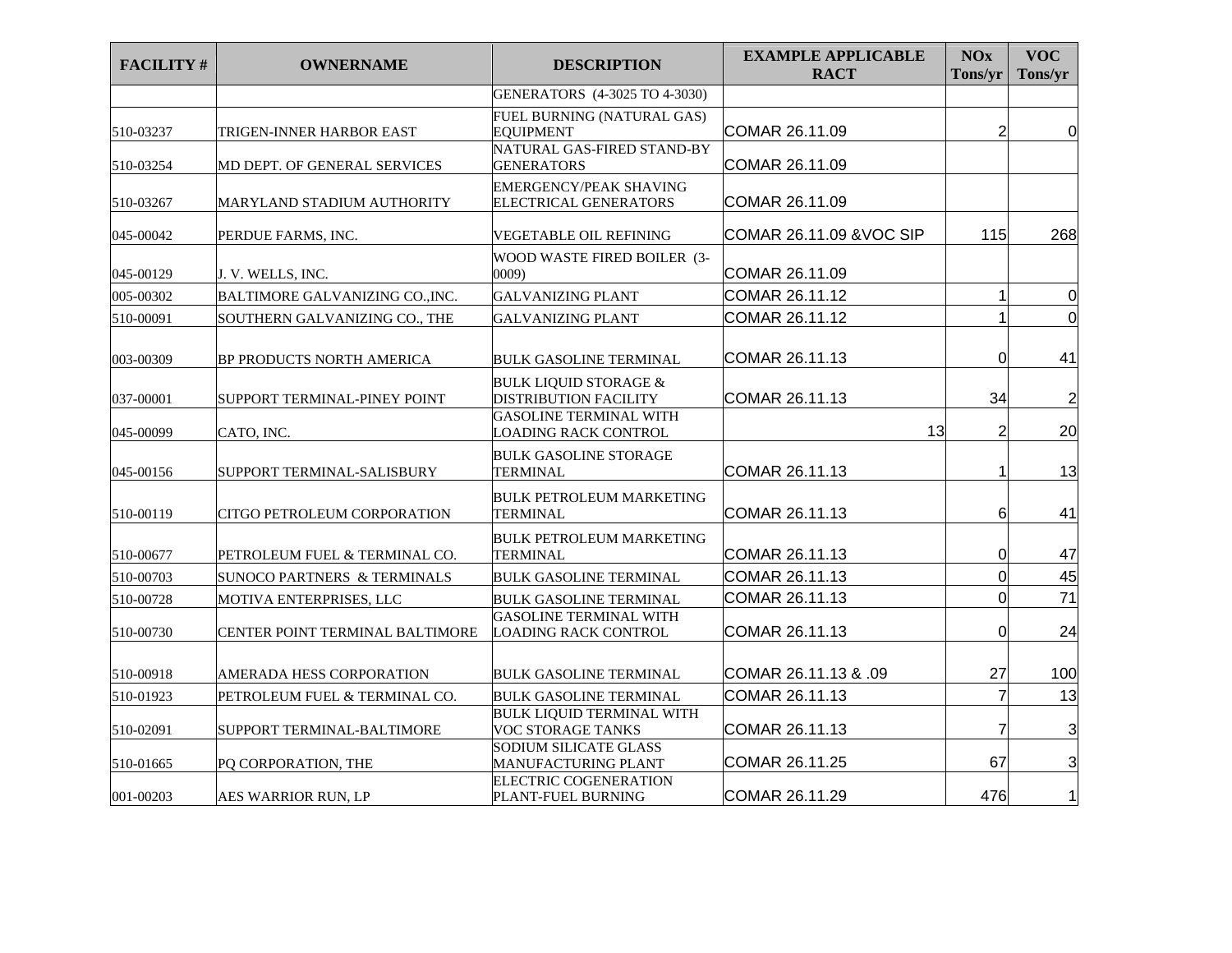| <b>FACILITY#</b> | <b>OWNERNAME</b>                | <b>DESCRIPTION</b>                                           | <b>EXAMPLE APPLICABLE</b><br><b>RACT</b> | <b>NOx</b><br>Tons/yr | <b>VOC</b><br>Tons/yr   |
|------------------|---------------------------------|--------------------------------------------------------------|------------------------------------------|-----------------------|-------------------------|
|                  |                                 | GENERATORS (4-3025 TO 4-3030)                                |                                          |                       |                         |
| 510-03237        | TRIGEN-INNER HARBOR EAST        | FUEL BURNING (NATURAL GAS)<br><b>EOUIPMENT</b>               | COMAR 26.11.09                           | $\overline{2}$        | 0                       |
| 510-03254        | MD DEPT. OF GENERAL SERVICES    | NATURAL GAS-FIRED STAND-BY<br><b>GENERATORS</b>              | COMAR 26.11.09                           |                       |                         |
| 510-03267        | MARYLAND STADIUM AUTHORITY      | EMERGENCY/PEAK SHAVING<br>ELECTRICAL GENERATORS              | COMAR 26.11.09                           |                       |                         |
| 045-00042        | PERDUE FARMS, INC.              | VEGETABLE OIL REFINING                                       | COMAR 26.11.09 & VOC SIP                 | 115                   | 268                     |
| 045-00129        | J. V. WELLS, INC.               | WOOD WASTE FIRED BOILER (3-<br>0009                          | COMAR 26.11.09                           |                       |                         |
| 005-00302        | BALTIMORE GALVANIZING CO., INC. | <b>GALVANIZING PLANT</b>                                     | COMAR 26.11.12                           |                       | $\Omega$                |
| 510-00091        | SOUTHERN GALVANIZING CO., THE   | <b>GALVANIZING PLANT</b>                                     | COMAR 26.11.12                           |                       | $\overline{0}$          |
| 003-00309        | BP PRODUCTS NORTH AMERICA       | <b>BULK GASOLINE TERMINAL</b>                                | COMAR 26.11.13                           | 0                     | 41                      |
| 037-00001        | SUPPORT TERMINAL-PINEY POINT    | <b>BULK LIQUID STORAGE &amp;</b><br>DISTRIBUTION FACILITY    | COMAR 26.11.13                           | 34                    | $\overline{\mathbf{c}}$ |
| 045-00099        | CATO, INC.                      | <b>GASOLINE TERMINAL WITH</b><br>LOADING RACK CONTROL        | 13                                       | 2                     | 20                      |
| 045-00156        | SUPPORT TERMINAL-SALISBURY      | <b>BULK GASOLINE STORAGE</b><br><b>TERMINAL</b>              | COMAR 26.11.13                           | 1                     | 13                      |
| 510-00119        | CITGO PETROLEUM CORPORATION     | <b>BULK PETROLEUM MARKETING</b><br>TERMINAL                  | COMAR 26.11.13                           | 6                     | 41                      |
| 510-00677        | PETROLEUM FUEL & TERMINAL CO.   | <b>BULK PETROLEUM MARKETING</b><br>TERMINAL                  | COMAR 26.11.13                           | 0                     | 47                      |
| 510-00703        | SUNOCO PARTNERS & TERMINALS     | <b>BULK GASOLINE TERMINAL</b>                                | COMAR 26.11.13                           | $\Omega$              | 45                      |
| 510-00728        | MOTIVA ENTERPRISES, LLC         | <b>BULK GASOLINE TERMINAL</b>                                | COMAR 26.11.13                           | 0                     | 71                      |
| 510-00730        | CENTER POINT TERMINAL BALTIMORE | <b>GASOLINE TERMINAL WITH</b><br><b>LOADING RACK CONTROL</b> | COMAR 26.11.13                           | 0                     | 24                      |
| 510-00918        | AMERADA HESS CORPORATION        | <b>BULK GASOLINE TERMINAL</b>                                | COMAR 26.11.13 & .09                     | 27                    | 100                     |
| 510-01923        | PETROLEUM FUEL & TERMINAL CO.   | <b>BULK GASOLINE TERMINAL</b>                                | COMAR 26.11.13                           | $\overline{7}$        | 13                      |
| 510-02091        | SUPPORT TERMINAL-BALTIMORE      | <b>BULK LIQUID TERMINAL WITH</b><br><b>VOC STORAGE TANKS</b> | COMAR 26.11.13                           | 7                     | 3                       |
| 510-01665        | PQ CORPORATION, THE             | SODIUM SILICATE GLASS<br>MANUFACTURING PLANT                 | COMAR 26.11.25                           | 67                    | 3                       |
| 001-00203        | AES WARRIOR RUN, LP             | ELECTRIC COGENERATION<br>PLANT-FUEL BURNING                  | COMAR 26.11.29                           | 476                   | 1                       |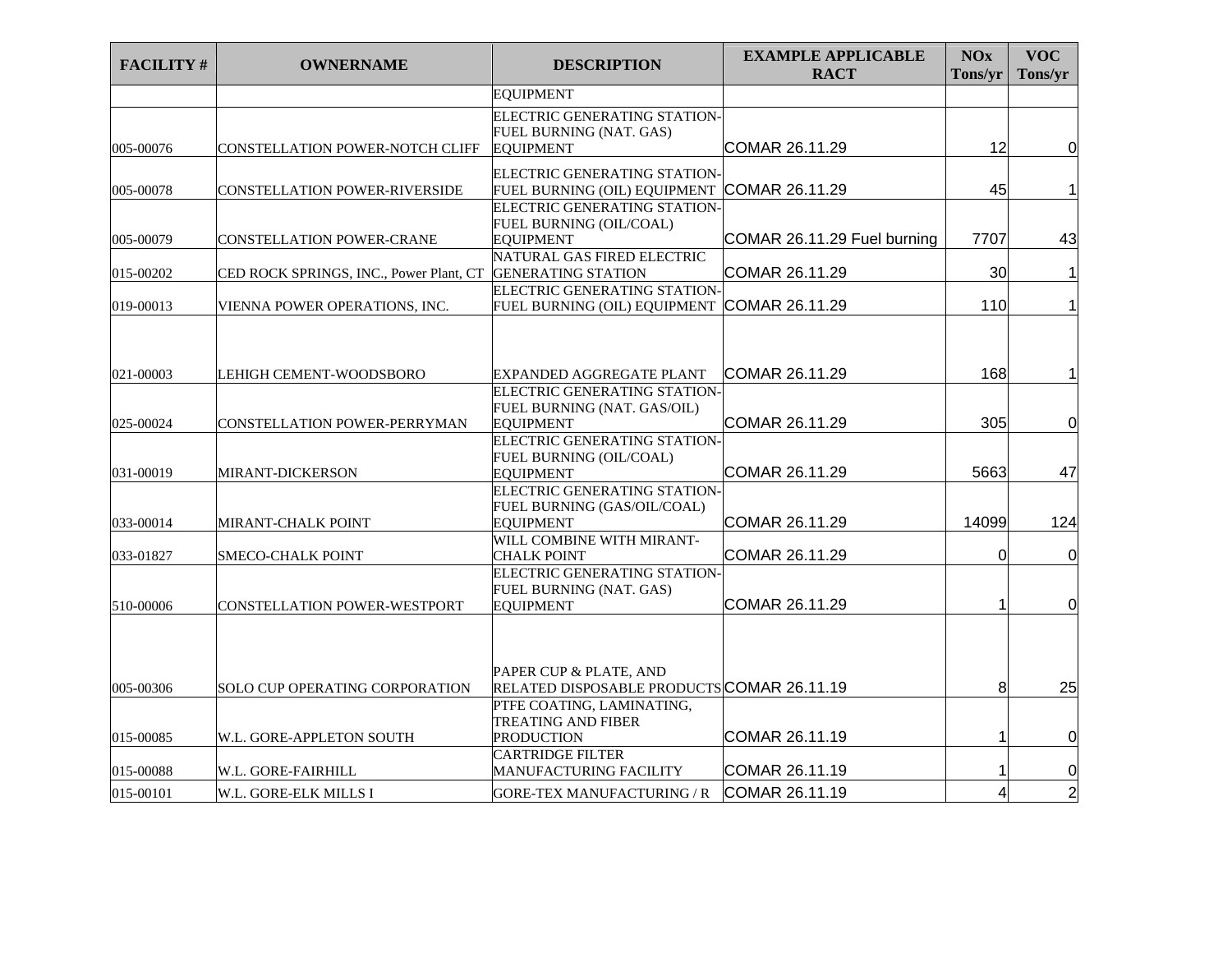| <b>FACILITY#</b> | <b>OWNERNAME</b>                        | <b>DESCRIPTION</b>                                                                                           | <b>EXAMPLE APPLICABLE</b><br><b>RACT</b> | <b>NOx</b><br>Tons/yr | <b>VOC</b><br>Tons/yr |
|------------------|-----------------------------------------|--------------------------------------------------------------------------------------------------------------|------------------------------------------|-----------------------|-----------------------|
|                  |                                         | <b>EQUIPMENT</b>                                                                                             |                                          |                       |                       |
| 005-00076        | CONSTELLATION POWER-NOTCH CLIFF         | ELECTRIC GENERATING STATION-<br>FUEL BURNING (NAT. GAS)<br><b>EQUIPMENT</b>                                  | COMAR 26.11.29                           | 12                    | $\overline{0}$        |
| 005-00078        | <b>CONSTELLATION POWER-RIVERSIDE</b>    | ELECTRIC GENERATING STATION-<br>FUEL BURNING (OIL) EQUIPMENT                                                 | COMAR 26.11.29                           | 45                    | 1                     |
| 005-00079        | <b>CONSTELLATION POWER-CRANE</b>        | ELECTRIC GENERATING STATION-<br>FUEL BURNING (OIL/COAL)<br><b>EQUIPMENT</b>                                  | COMAR 26.11.29 Fuel burning              | 7707                  | 43                    |
| 015-00202        | CED ROCK SPRINGS, INC., Power Plant, CT | NATURAL GAS FIRED ELECTRIC<br><b>GENERATING STATION</b>                                                      | COMAR 26.11.29                           | 30                    | 1                     |
| 019-00013        | VIENNA POWER OPERATIONS, INC.           | ELECTRIC GENERATING STATION<br>FUEL BURNING (OIL) EQUIPMENT                                                  | COMAR 26.11.29                           | 110                   | $\mathbf{1}$          |
| 021-00003        | LEHIGH CEMENT-WOODSBORO                 | EXPANDED AGGREGATE PLANT<br>ELECTRIC GENERATING STATION                                                      | COMAR 26.11.29                           | 168                   | 1                     |
| 025-00024        | <b>CONSTELLATION POWER-PERRYMAN</b>     | FUEL BURNING (NAT. GAS/OIL)<br><b>EQUIPMENT</b>                                                              | COMAR 26.11.29                           | 305                   | $\overline{0}$        |
| 031-00019        | <b>MIRANT-DICKERSON</b>                 | ELECTRIC GENERATING STATION-<br>FUEL BURNING (OIL/COAL)<br><b>EOUIPMENT</b>                                  | COMAR 26.11.29                           | 5663                  | 47                    |
| 033-00014        | <b>MIRANT-CHALK POINT</b>               | ELECTRIC GENERATING STATION-<br>FUEL BURNING (GAS/OIL/COAL)<br><b>EQUIPMENT</b>                              | COMAR 26.11.29                           | 14099                 | 124                   |
| 033-01827        | <b>SMECO-CHALK POINT</b>                | WILL COMBINE WITH MIRANT-<br><b>CHALK POINT</b><br>ELECTRIC GENERATING STATION-                              | COMAR 26.11.29                           | $\Omega$              | $\overline{0}$        |
| 510-00006        | CONSTELLATION POWER-WESTPORT            | FUEL BURNING (NAT. GAS)<br><b>EOUIPMENT</b>                                                                  | COMAR 26.11.29                           |                       | 0                     |
| 005-00306        | <b>SOLO CUP OPERATING CORPORATION</b>   | <b>PAPER CUP &amp; PLATE, AND</b><br>RELATED DISPOSABLE PRODUCTS COMAR 26.11.19<br>PTFE COATING, LAMINATING, |                                          | 8                     | 25                    |
| 015-00085        | W.L. GORE-APPLETON SOUTH                | <b>TREATING AND FIBER</b><br><b>PRODUCTION</b>                                                               | COMAR 26.11.19                           | 1                     | $\overline{0}$        |
| 015-00088        | W.L. GORE-FAIRHILL                      | <b>CARTRIDGE FILTER</b><br>MANUFACTURING FACILITY                                                            | COMAR 26.11.19                           |                       | $\overline{0}$        |
| 015-00101        | W.L. GORE-ELK MILLS I                   | <b>GORE-TEX MANUFACTURING / R</b>                                                                            | COMAR 26.11.19                           | $\overline{4}$        | $\overline{2}$        |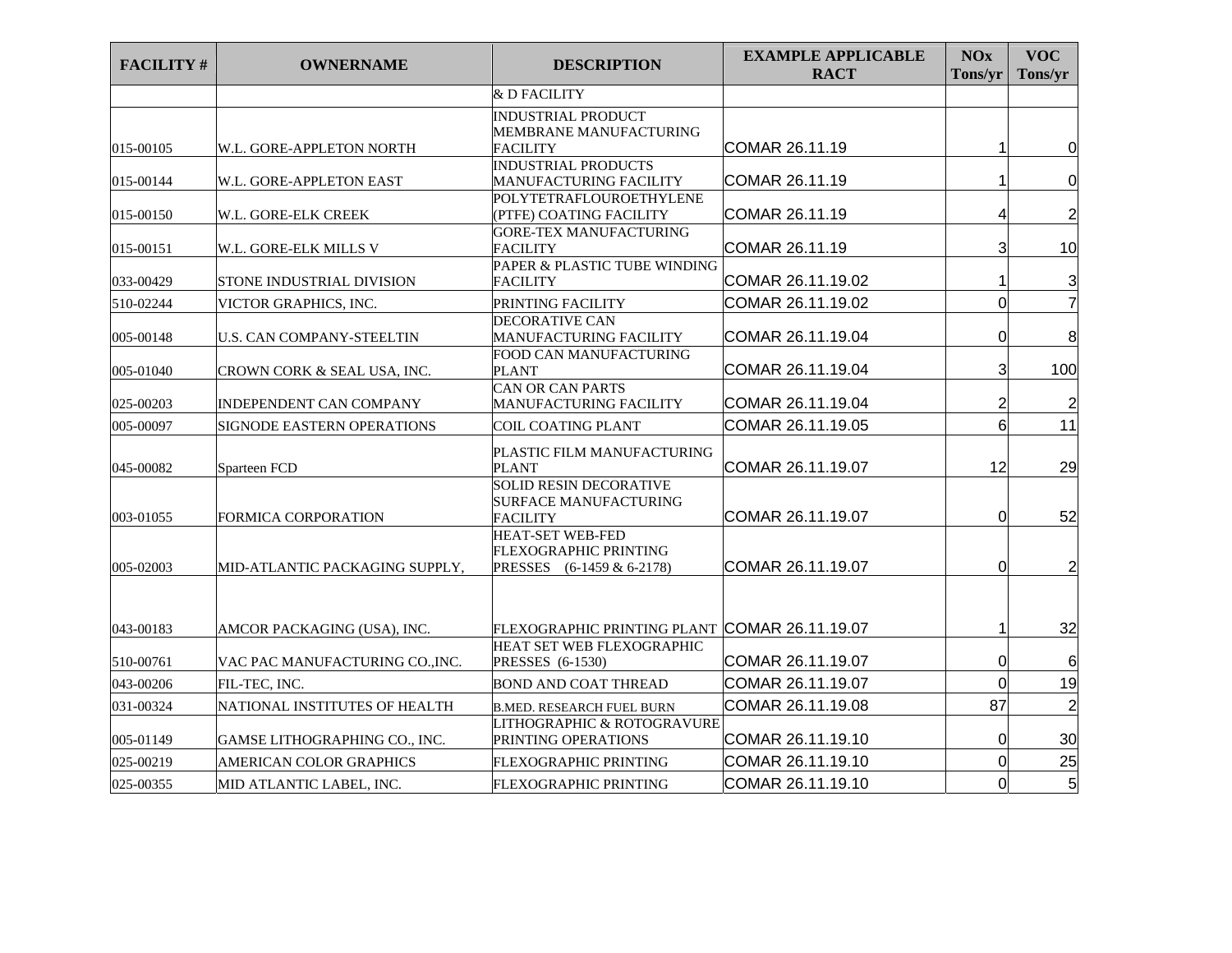| <b>FACILITY#</b> | <b>OWNERNAME</b>                 | <b>DESCRIPTION</b>                                                                            | <b>EXAMPLE APPLICABLE</b><br><b>RACT</b> | NOx<br>Tons/yr | <b>VOC</b><br>Tons/yr   |
|------------------|----------------------------------|-----------------------------------------------------------------------------------------------|------------------------------------------|----------------|-------------------------|
|                  |                                  | & D FACILITY                                                                                  |                                          |                |                         |
| 015-00105        |                                  | <b>INDUSTRIAL PRODUCT</b><br>MEMBRANE MANUFACTURING<br><b>FACILITY</b>                        | COMAR 26.11.19                           |                | 0                       |
|                  | W.L. GORE-APPLETON NORTH         | <b>INDUSTRIAL PRODUCTS</b>                                                                    |                                          |                |                         |
| 015-00144        | W.L. GORE-APPLETON EAST          | MANUFACTURING FACILITY                                                                        | COMAR 26.11.19                           |                | $\overline{0}$          |
| 015-00150        | W.L. GORE-ELK CREEK              | POLYTETRAFLOUROETHYLENE<br>(PTFE) COATING FACILITY                                            | COMAR 26.11.19                           | 4              | $\overline{\mathbf{c}}$ |
| 015-00151        | W.L. GORE-ELK MILLS V            | <b>GORE-TEX MANUFACTURING</b><br><b>FACILITY</b>                                              | COMAR 26.11.19                           | 3              | 10                      |
| 033-00429        | STONE INDUSTRIAL DIVISION        | PAPER & PLASTIC TUBE WINDING<br><b>FACILITY</b>                                               | COMAR 26.11.19.02                        |                | 3                       |
| 510-02244        | VICTOR GRAPHICS, INC.            | PRINTING FACILITY                                                                             | COMAR 26.11.19.02                        | $\overline{0}$ | $\overline{7}$          |
| 005-00148        | <b>U.S. CAN COMPANY-STEELTIN</b> | DECORATIVE CAN<br>MANUFACTURING FACILITY                                                      | COMAR 26.11.19.04                        | 0              | 8                       |
| 005-01040        | CROWN CORK & SEAL USA, INC.      | FOOD CAN MANUFACTURING<br><b>PLANT</b>                                                        | COMAR 26.11.19.04                        | 3              | 100                     |
| 025-00203        | INDEPENDENT CAN COMPANY          | <b>CAN OR CAN PARTS</b><br>MANUFACTURING FACILITY                                             | COMAR 26.11.19.04                        | 2              | $\overline{\mathbf{c}}$ |
| 005-00097        | SIGNODE EASTERN OPERATIONS       | <b>COIL COATING PLANT</b>                                                                     | COMAR 26.11.19.05                        | 6              | 11                      |
| 045-00082        | Sparteen FCD                     | PLASTIC FILM MANUFACTURING<br><b>PLANT</b>                                                    | COMAR 26.11.19.07                        | 12             | 29                      |
| 003-01055        | <b>FORMICA CORPORATION</b>       | <b>SOLID RESIN DECORATIVE</b><br>SURFACE MANUFACTURING<br>FACILITY<br><b>HEAT-SET WEB-FED</b> | COMAR 26.11.19.07                        | 0              | 52                      |
| 005-02003        | MID-ATLANTIC PACKAGING SUPPLY,   | FLEXOGRAPHIC PRINTING<br>PRESSES (6-1459 & 6-2178)                                            | COMAR 26.11.19.07                        | 0              | $\overline{c}$          |
| 043-00183        | AMCOR PACKAGING (USA), INC.      | FLEXOGRAPHIC PRINTING PLANT COMAR 26.11.19.07                                                 |                                          | 1              | 32                      |
| 510-00761        | VAC PAC MANUFACTURING CO., INC.  | HEAT SET WEB FLEXOGRAPHIC<br>PRESSES (6-1530)                                                 | COMAR 26.11.19.07                        | 0              | 6                       |
| 043-00206        | FIL-TEC. INC.                    | <b>BOND AND COAT THREAD</b>                                                                   | COMAR 26.11.19.07                        | $\Omega$       | 19                      |
| 031-00324        | NATIONAL INSTITUTES OF HEALTH    | <b>B.MED. RESEARCH FUEL BURN</b>                                                              | COMAR 26.11.19.08                        | 87             | $\overline{c}$          |
| 005-01149        | GAMSE LITHOGRAPHING CO., INC.    | LITHOGRAPHIC & ROTOGRAVURE<br>PRINTING OPERATIONS                                             | COMAR 26.11.19.10                        | $\Omega$       | 30                      |
| 025-00219        | AMERICAN COLOR GRAPHICS          | FLEXOGRAPHIC PRINTING                                                                         | COMAR 26.11.19.10                        | 0              | 25                      |
| 025-00355        | MID ATLANTIC LABEL, INC.         | FLEXOGRAPHIC PRINTING                                                                         | COMAR 26.11.19.10                        | 0              | 5 <sub>l</sub>          |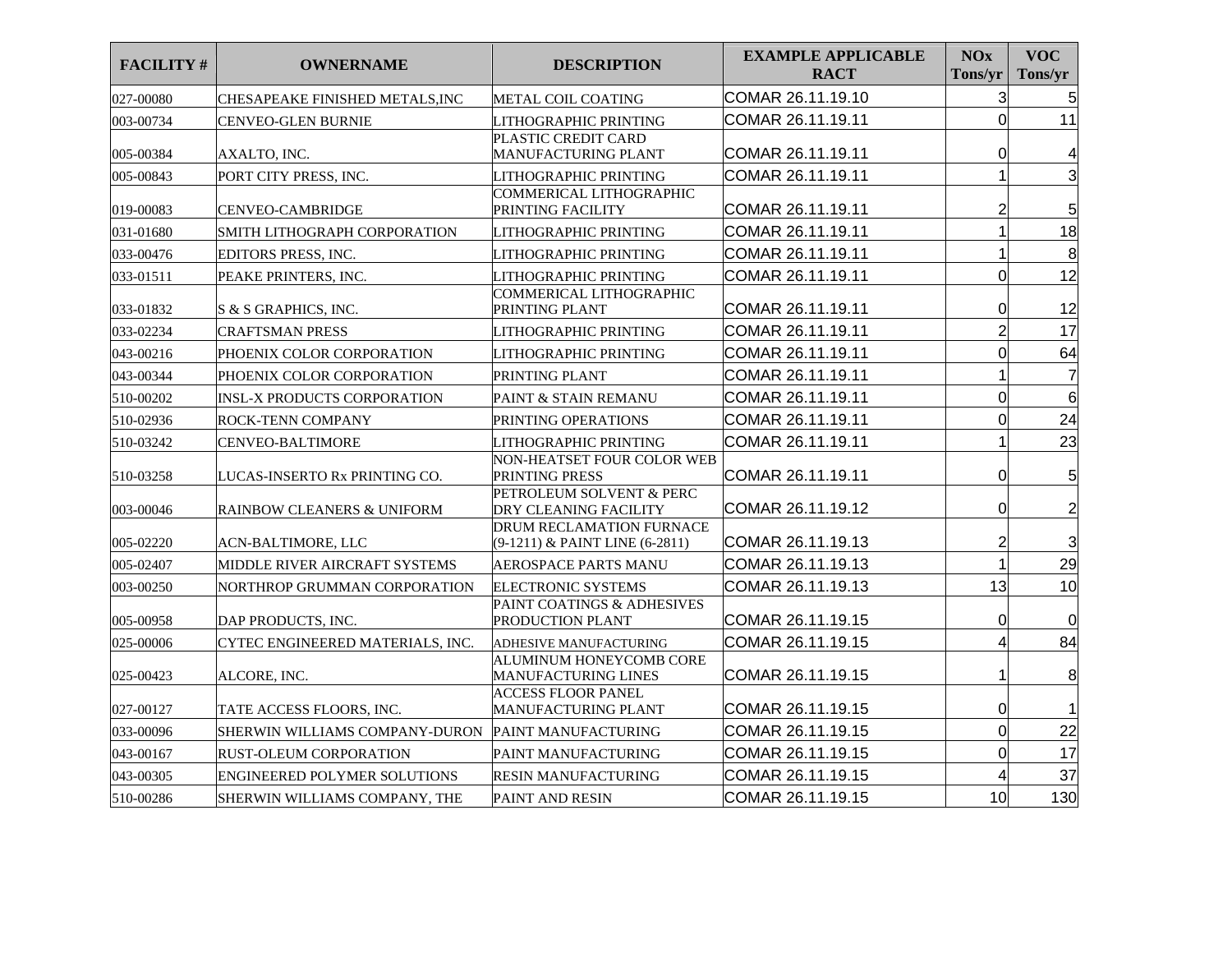| <b>FACILITY#</b> | <b>OWNERNAME</b>                   | <b>DESCRIPTION</b>                                         | <b>EXAMPLE APPLICABLE</b><br><b>RACT</b> | <b>NOx</b><br>Tons/yr | <b>VOC</b><br>Tons/yr |
|------------------|------------------------------------|------------------------------------------------------------|------------------------------------------|-----------------------|-----------------------|
| 027-00080        | CHESAPEAKE FINISHED METALS,INC     | METAL COIL COATING                                         | COMAR 26.11.19.10                        | 3                     | 5                     |
| 003-00734        | CENVEO-GLEN BURNIE                 | LITHOGRAPHIC PRINTING                                      | COMAR 26.11.19.11                        | $\overline{0}$        | 11                    |
| 005-00384        | AXALTO, INC.                       | PLASTIC CREDIT CARD<br>MANUFACTURING PLANT                 | COMAR 26.11.19.11                        | 0                     | 4                     |
| 005-00843        | PORT CITY PRESS, INC.              | LITHOGRAPHIC PRINTING                                      | COMAR 26.11.19.11                        |                       | 3                     |
| 019-00083        | <b>CENVEO-CAMBRIDGE</b>            | COMMERICAL LITHOGRAPHIC<br>PRINTING FACILITY               | COMAR 26.11.19.11                        | 2                     | $5\phantom{.0}$       |
| 031-01680        | SMITH LITHOGRAPH CORPORATION       | LITHOGRAPHIC PRINTING                                      | COMAR 26.11.19.11                        | $\mathbf 1$           | 18                    |
| 033-00476        | EDITORS PRESS, INC.                | LITHOGRAPHIC PRINTING                                      | COMAR 26.11.19.11                        | 1                     | 8                     |
| 033-01511        | PEAKE PRINTERS, INC.               | LITHOGRAPHIC PRINTING                                      | COMAR 26.11.19.11                        | $\overline{0}$        | 12                    |
| 033-01832        | S & S GRAPHICS, INC.               | COMMERICAL LITHOGRAPHIC<br>PRINTING PLANT                  | COMAR 26.11.19.11                        | 0                     | 12                    |
| 033-02234        | <b>CRAFTSMAN PRESS</b>             | LITHOGRAPHIC PRINTING                                      | COMAR 26.11.19.11                        | $\overline{2}$        | 17                    |
| 043-00216        | PHOENIX COLOR CORPORATION          | LITHOGRAPHIC PRINTING                                      | COMAR 26.11.19.11                        | $\overline{0}$        | 64                    |
| 043-00344        | PHOENIX COLOR CORPORATION          | PRINTING PLANT                                             | COMAR 26.11.19.11                        |                       | $\overline{7}$        |
| 510-00202        | <b>INSL-X PRODUCTS CORPORATION</b> | PAINT & STAIN REMANU                                       | COMAR 26.11.19.11                        | $\mathbf 0$           | 6                     |
| 510-02936        | ROCK-TENN COMPANY                  | PRINTING OPERATIONS                                        | COMAR 26.11.19.11                        | 0                     | 24                    |
| 510-03242        | CENVEO-BALTIMORE                   | LITHOGRAPHIC PRINTING                                      | COMAR 26.11.19.11                        |                       | 23                    |
| 510-03258        | LUCAS-INSERTO Rx PRINTING CO.      | NON-HEATSET FOUR COLOR WEB<br>PRINTING PRESS               | COMAR 26.11.19.11                        | 0                     | 5                     |
| 003-00046        | RAINBOW CLEANERS & UNIFORM         | PETROLEUM SOLVENT & PERC<br>DRY CLEANING FACILITY          | COMAR 26.11.19.12                        | 0                     | $\overline{c}$        |
| 005-02220        | ACN-BALTIMORE, LLC                 | DRUM RECLAMATION FURNACE<br>(9-1211) & PAINT LINE (6-2811) | COMAR 26.11.19.13                        | $\overline{c}$        | 3                     |
| 005-02407        | MIDDLE RIVER AIRCRAFT SYSTEMS      | AEROSPACE PARTS MANU                                       | COMAR 26.11.19.13                        | 1                     | 29                    |
| 003-00250        | NORTHROP GRUMMAN CORPORATION       | <b>ELECTRONIC SYSTEMS</b>                                  | COMAR 26.11.19.13                        | 13                    | 10                    |
| 005-00958        | DAP PRODUCTS, INC.                 | PAINT COATINGS & ADHESIVES<br>PRODUCTION PLANT             | COMAR 26.11.19.15                        | $\mathbf 0$           | $\overline{0}$        |
| 025-00006        | CYTEC ENGINEERED MATERIALS, INC.   | ADHESIVE MANUFACTURING                                     | COMAR 26.11.19.15                        | 4                     | 84                    |
| 025-00423        | ALCORE, INC.                       | <b>ALUMINUM HONEYCOMB CORE</b><br>MANUFACTURING LINES      | COMAR 26.11.19.15                        | 1                     | 8                     |
| 027-00127        | TATE ACCESS FLOORS, INC.           | <b>ACCESS FLOOR PANEL</b><br>MANUFACTURING PLANT           | COMAR 26.11.19.15                        | 0                     |                       |
| 033-00096        | SHERWIN WILLIAMS COMPANY-DURON     | PAINT MANUFACTURING                                        | COMAR 26.11.19.15                        | $\overline{0}$        | 22                    |
| 043-00167        | RUST-OLEUM CORPORATION             | PAINT MANUFACTURING                                        | COMAR 26.11.19.15                        | $\mathbf 0$           | 17                    |
| 043-00305        | ENGINEERED POLYMER SOLUTIONS       | <b>RESIN MANUFACTURING</b>                                 | COMAR 26.11.19.15                        | 4                     | 37                    |
| 510-00286        | SHERWIN WILLIAMS COMPANY, THE      | <b>PAINT AND RESIN</b>                                     | COMAR 26.11.19.15                        | 10                    | 130                   |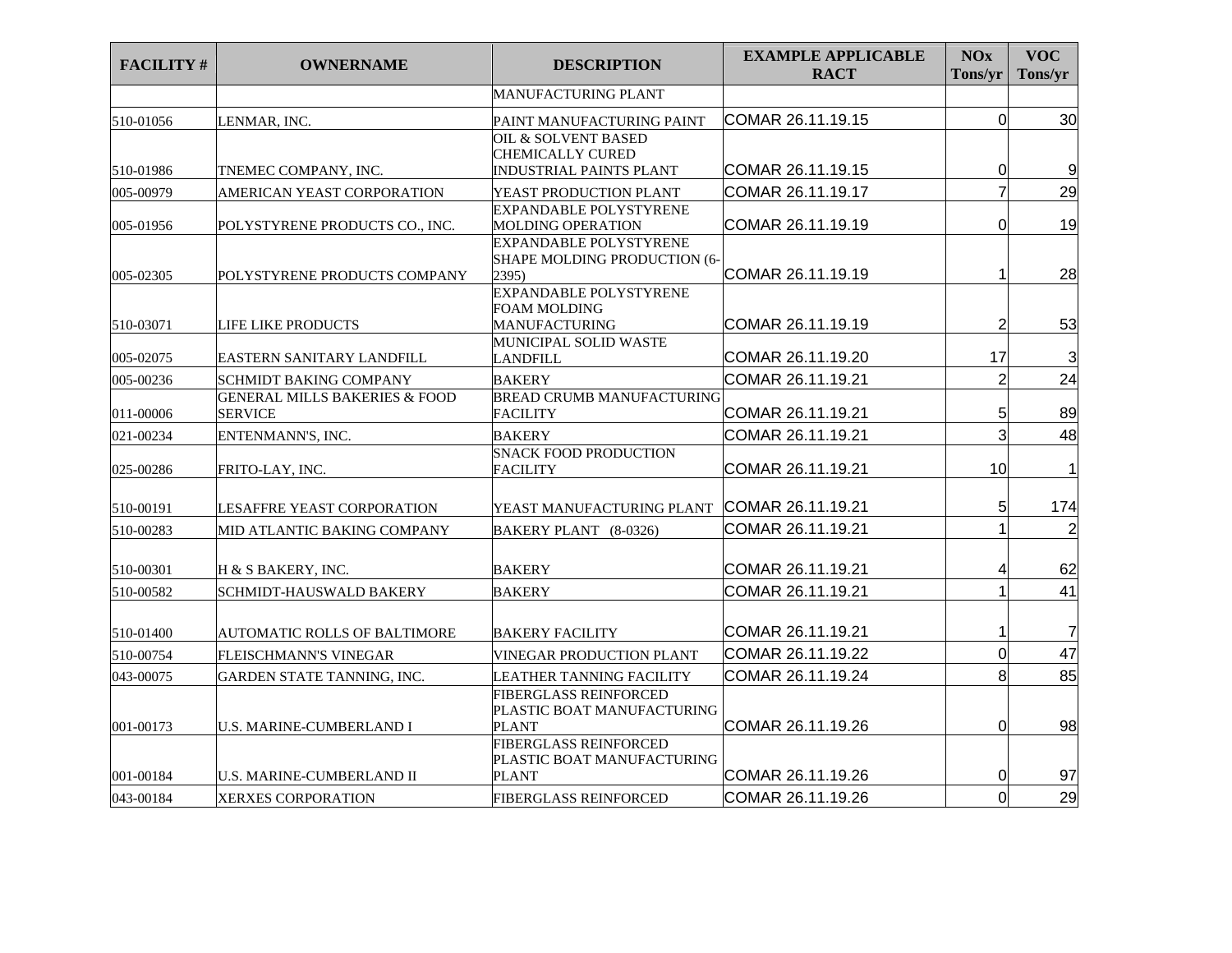| <b>FACILITY#</b> | <b>OWNERNAME</b>                                           | <b>DESCRIPTION</b>                                                           | <b>EXAMPLE APPLICABLE</b><br><b>RACT</b> | <b>NOx</b><br>Tons/yr | <b>VOC</b><br>Tons/yr |
|------------------|------------------------------------------------------------|------------------------------------------------------------------------------|------------------------------------------|-----------------------|-----------------------|
|                  |                                                            | <b>MANUFACTURING PLANT</b>                                                   |                                          |                       |                       |
| 510-01056        | LENMAR, INC.                                               | PAINT MANUFACTURING PAINT                                                    | COMAR 26.11.19.15                        | $\mathbf 0$           | 30                    |
| 510-01986        | TNEMEC COMPANY, INC.                                       | OIL & SOLVENT BASED<br><b>CHEMICALLY CURED</b><br>INDUSTRIAL PAINTS PLANT    | COMAR 26.11.19.15                        | 0                     | 9                     |
| 005-00979        | AMERICAN YEAST CORPORATION                                 | YEAST PRODUCTION PLANT                                                       | COMAR 26.11.19.17                        | $\overline{7}$        | 29                    |
| 005-01956        | POLYSTYRENE PRODUCTS CO., INC.                             | EXPANDABLE POLYSTYRENE<br>MOLDING OPERATION<br><b>EXPANDABLE POLYSTYRENE</b> | COMAR 26.11.19.19                        | $\Omega$              | 19                    |
| 005-02305        | POLYSTYRENE PRODUCTS COMPANY                               | <b>SHAPE MOLDING PRODUCTION (6-</b><br>2395)                                 | COMAR 26.11.19.19                        | 1                     | 28                    |
| 510-03071        | LIFE LIKE PRODUCTS                                         | EXPANDABLE POLYSTYRENE<br>FOAM MOLDING<br><b>MANUFACTURING</b>               | COMAR 26.11.19.19                        | $\overline{2}$        | 53                    |
| 005-02075        | <b>EASTERN SANITARY LANDFILL</b>                           | MUNICIPAL SOLID WASTE<br>LANDFILL                                            | COMAR 26.11.19.20                        | 17                    | 3                     |
| 005-00236        | <b>SCHMIDT BAKING COMPANY</b>                              | <b>BAKERY</b>                                                                | COMAR 26.11.19.21                        | $\overline{2}$        | 24                    |
| 011-00006        | <b>GENERAL MILLS BAKERIES &amp; FOOD</b><br><b>SERVICE</b> | <b>BREAD CRUMB MANUFACTURING</b><br><b>FACILITY</b>                          | COMAR 26.11.19.21                        | 5                     | 89                    |
| 021-00234        | ENTENMANN'S, INC.                                          | <b>BAKERY</b>                                                                | COMAR 26.11.19.21                        | 3                     | 48                    |
| 025-00286        | FRITO-LAY, INC.                                            | <b>SNACK FOOD PRODUCTION</b><br><b>FACILITY</b>                              | COMAR 26.11.19.21                        | 10                    | 1                     |
| 510-00191        | LESAFFRE YEAST CORPORATION                                 | YEAST MANUFACTURING PLANT                                                    | COMAR 26.11.19.21                        | 5                     | 174                   |
| 510-00283        | MID ATLANTIC BAKING COMPANY                                | BAKERY PLANT (8-0326)                                                        | COMAR 26.11.19.21                        | 1                     | $\overline{c}$        |
| 510-00301        | H & S BAKERY, INC.                                         | <b>BAKERY</b>                                                                | COMAR 26.11.19.21                        | 4                     | 62                    |
| 510-00582        | SCHMIDT-HAUSWALD BAKERY                                    | <b>BAKERY</b>                                                                | COMAR 26.11.19.21                        | 1                     | 41                    |
| 510-01400        | AUTOMATIC ROLLS OF BALTIMORE                               | <b>BAKERY FACILITY</b>                                                       | COMAR 26.11.19.21                        | 1                     | $\overline{7}$        |
| 510-00754        | FLEISCHMANN'S VINEGAR                                      | VINEGAR PRODUCTION PLANT                                                     | COMAR 26.11.19.22                        | $\mathbf 0$           | 47                    |
| 043-00075        | GARDEN STATE TANNING, INC.                                 | LEATHER TANNING FACILITY                                                     | COMAR 26.11.19.24                        | 8                     | 85                    |
| 001-00173        | <b>U.S. MARINE-CUMBERLAND I</b>                            | FIBERGLASS REINFORCED<br>PLASTIC BOAT MANUFACTURING<br><b>PLANT</b>          | COMAR 26.11.19.26                        | $\Omega$              | 98                    |
| 001-00184        | <b>U.S. MARINE-CUMBERLAND II</b>                           | FIBERGLASS REINFORCED<br>PLASTIC BOAT MANUFACTURING<br><b>PLANT</b>          | COMAR 26.11.19.26                        | 0                     | 97                    |
| 043-00184        | <b>XERXES CORPORATION</b>                                  | <b>FIBERGLASS REINFORCED</b>                                                 | COMAR 26.11.19.26                        | $\overline{0}$        | 29                    |